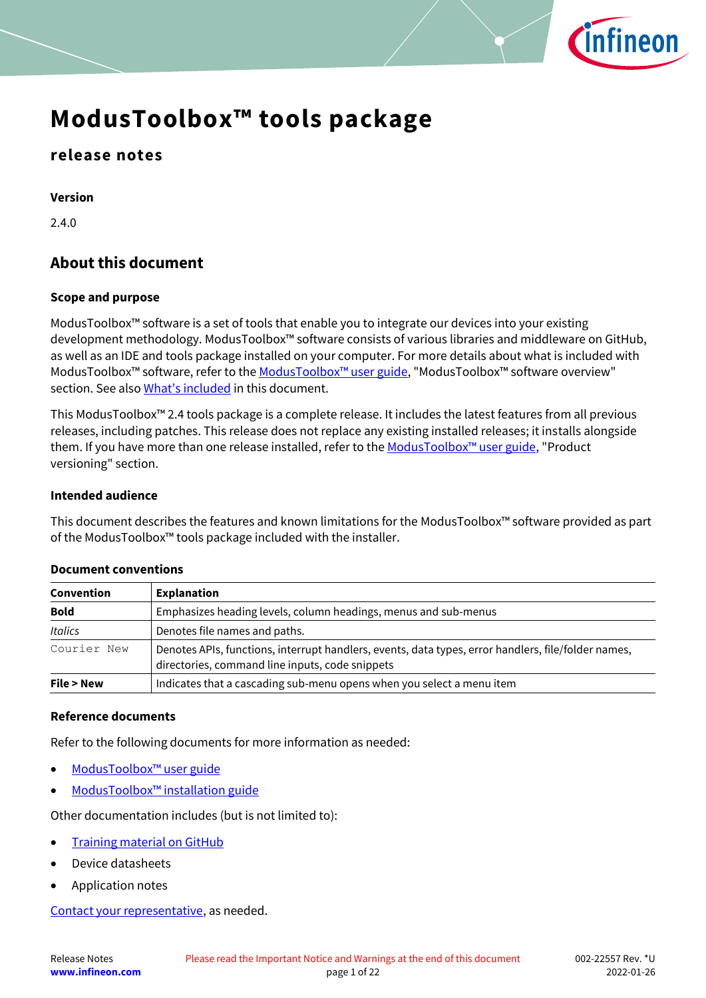

### **release notes**

**Version**

2.4.0

### **About this document**

#### **Scope and purpose**

ModusToolbox™ software is a set of tools that enable you to integrate our devices into your existing development methodology. ModusToolbox™ software consists of various libraries and middleware on GitHub, as well as an IDE and tools package installed on your computer. For more details about what is included with ModusToolbox™ software, refer to the [ModusToolbox™ u](http://www.cypress.com/ModusToolboxUserGuide)ser guide, "ModusToolbox™ software overview" section. See also [What's included](#page-5-0) in this document.

This ModusToolbox™ 2.4 tools package is a complete release. It includes the latest features from all previous releases, including patches. This release does not replace any existing installed releases; it installs alongside them. If you have more than one release installed, refer to the ModusToolbox<sup>™</sup> user guide, "Product versioning" section.

#### **Intended audience**

This document describes the features and known limitations for the ModusToolbox™ software provided as part of the ModusToolbox™ tools package included with the installer.

| Convention                                                                                                                                                            | <b>Explanation</b>                                                    |  |
|-----------------------------------------------------------------------------------------------------------------------------------------------------------------------|-----------------------------------------------------------------------|--|
| <b>Bold</b><br>Emphasizes heading levels, column headings, menus and sub-menus                                                                                        |                                                                       |  |
| <b>Italics</b>                                                                                                                                                        | Denotes file names and paths.                                         |  |
| Courier New<br>Denotes APIs, functions, interrupt handlers, events, data types, error handlers, file/folder names,<br>directories, command line inputs, code snippets |                                                                       |  |
| File > New                                                                                                                                                            | Indicates that a cascading sub-menu opens when you select a menu item |  |

#### **Document conventions**

#### **Reference documents**

Refer to the following documents for more information as needed:

- [ModusToolbox™ user guide](http://www.cypress.com/ModusToolboxUserGuide)
- ModusToolbox™ [installation guide](http://www.cypress.com/ModusToolboxInstallGuide)

Other documentation includes (but is not limited to):

- [Training material on GitHub](https://github.com/Infineon/training-modustoolbox)
- Device datasheets
- Application notes

[Contact your representative,](http://www.cypress.com/about-us/sales-offices) as needed.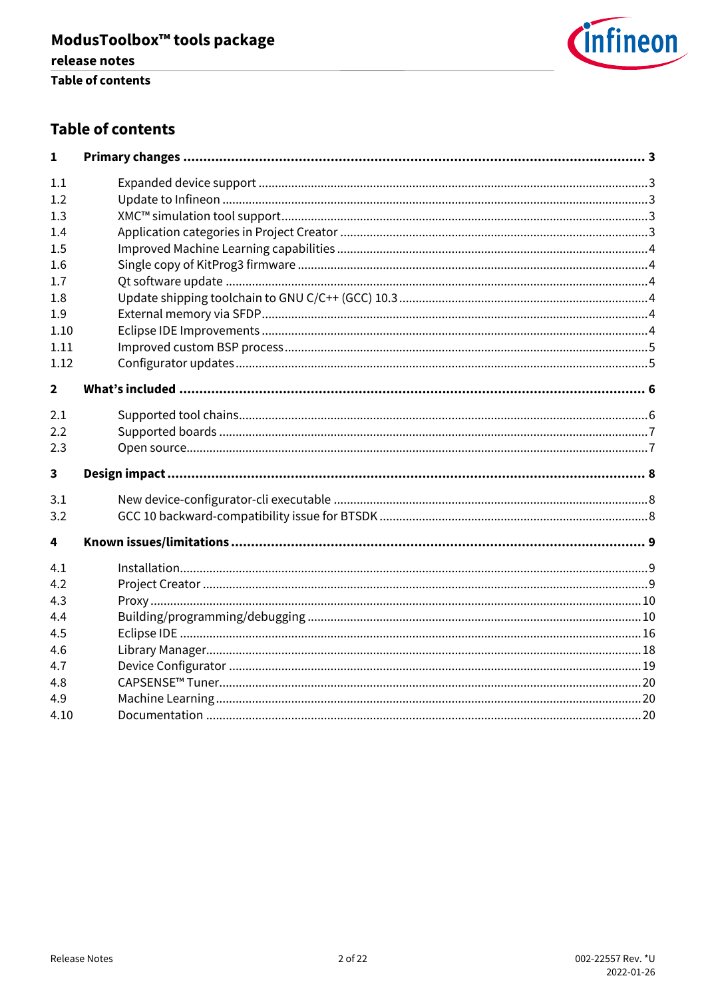

### **Table of contents**

| 1                       |  |
|-------------------------|--|
| 1.1                     |  |
| 1.2                     |  |
| 1.3                     |  |
| 1.4                     |  |
| 1.5                     |  |
| 1.6                     |  |
| 1.7                     |  |
| 1.8                     |  |
| 1.9                     |  |
| 1.10                    |  |
| 1.11                    |  |
| 1.12                    |  |
| $\overline{2}$          |  |
| 2.1                     |  |
| 2.2                     |  |
| 2.3                     |  |
| $\overline{\mathbf{3}}$ |  |
| 3.1                     |  |
| 3.2                     |  |
| 4                       |  |
| 4.1                     |  |
| 4.2                     |  |
| 4.3                     |  |
| 4.4                     |  |
| 4.5                     |  |
| 4.6                     |  |
| 4.7                     |  |
| 4.8                     |  |
| 4.9                     |  |
| 4.10                    |  |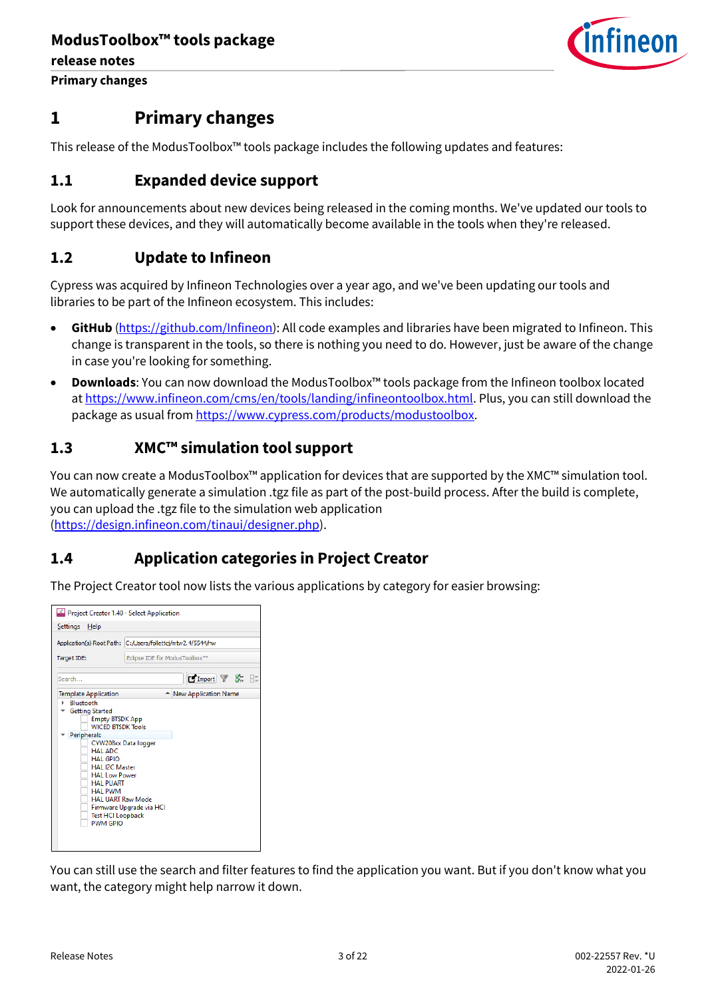

**Primary changes**

## <span id="page-2-0"></span>**1 Primary changes**

This release of the ModusToolbox™ tools package includes the following updates and features:

### <span id="page-2-1"></span>**1.1 Expanded device support**

Look for announcements about new devices being released in the coming months. We've updated our tools to support these devices, and they will automatically become available in the tools when they're released.

### <span id="page-2-2"></span>**1.2 Update to Infineon**

Cypress was acquired by Infineon Technologies over a year ago, and we've been updating our tools and libraries to be part of the Infineon ecosystem. This includes:

- **GitHub** [\(https://github.com/Infineon\)](https://github.com/Infineon): All code examples and libraries have been migrated to Infineon. This change is transparent in the tools, so there is nothing you need to do. However, just be aware of the change in case you're looking for something.
- **Downloads**: You can now download the ModusToolbox™ tools package from the Infineon toolbox located at [https://www.infineon.com/cms/en/tools/landing/infineontoolbox.html.](https://www.infineon.com/cms/en/tools/landing/infineontoolbox.html) Plus, you can still download the package as usual fro[m https://www.cypress.com/products/modustoolbox.](https://www.cypress.com/products/modustoolbox)

### <span id="page-2-3"></span>**1.3 XMC™ simulation tool support**

You can now create a ModusToolbox™ application for devices that are supported by the XMC™ simulation tool. We automatically generate a simulation .tgz file as part of the post-build process. After the build is complete, you can upload the .tgz file to the simulation web application [\(https://design.infineon.com/tinaui/designer.php\)](https://design.infineon.com/tinaui/designer.php).

### <span id="page-2-4"></span>**1.4 Application categories in Project Creator**

The Project Creator tool now lists the various applications by category for easier browsing:

| Project Creator 1.40 - Select Application                                                                                                                                                                                                                                                                                                  |                               |  |  |  |
|--------------------------------------------------------------------------------------------------------------------------------------------------------------------------------------------------------------------------------------------------------------------------------------------------------------------------------------------|-------------------------------|--|--|--|
| Settings<br>Help                                                                                                                                                                                                                                                                                                                           |                               |  |  |  |
| Application(s) Root Path: C:/Users/follettcj/mtw2.4/5544/hw                                                                                                                                                                                                                                                                                |                               |  |  |  |
| Target IDE:                                                                                                                                                                                                                                                                                                                                | Eclipse IDE for ModusToolbox™ |  |  |  |
| <b>MImport 了 家 日</b><br>Search                                                                                                                                                                                                                                                                                                             |                               |  |  |  |
| <b>Template Application</b><br>- New Application Name<br><b>Bluetooth</b><br><b>Getting Started</b><br><b>Empty BTSDK App</b><br><b>WICED BTSDK Tools</b><br>Peripherals<br>CYW208xx Data logger<br>HAI ADC<br>HAI GPIO<br><b>HAL I2C Master</b><br><b>HAL Low Power</b><br><b>HAL PUART</b><br><b>HAL PWM</b><br><b>HAL UART Raw Mode</b> |                               |  |  |  |
| <b>Test HCI Loopback</b><br><b>PWM GPIO</b>                                                                                                                                                                                                                                                                                                | Firmware Upgrade via HCI      |  |  |  |

You can still use the search and filter features to find the application you want. But if you don't know what you want, the category might help narrow it down.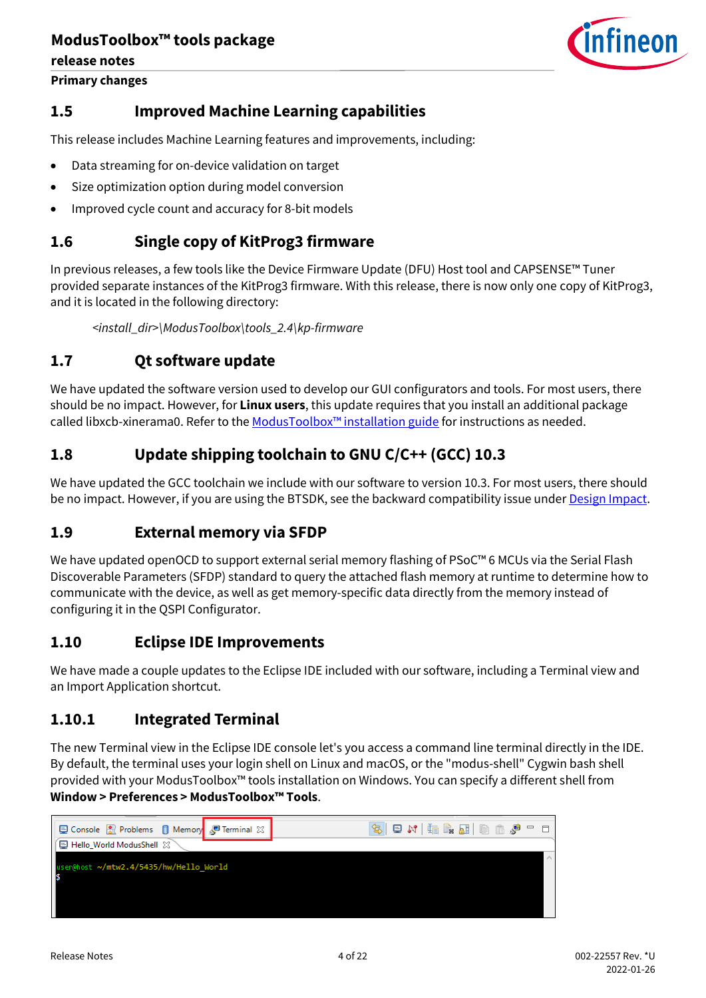**Primary changes**



### <span id="page-3-0"></span>**1.5 Improved Machine Learning capabilities**

This release includes Machine Learning features and improvements, including:

- Data streaming for on-device validation on target
- Size optimization option during model conversion
- Improved cycle count and accuracy for 8-bit models

### <span id="page-3-1"></span>**1.6 Single copy of KitProg3 firmware**

In previous releases, a few tools like the Device Firmware Update (DFU) Host tool and CAPSENSE™ Tuner provided separate instances of the KitProg3 firmware. With this release, there is now only one copy of KitProg3, and it is located in the following directory:

*<install\_dir>\ModusToolbox\tools\_2.4\kp-firmware*

### <span id="page-3-2"></span>**1.7 Qt software update**

We have updated the software version used to develop our GUI configurators and tools. For most users, there should be no impact. However, for **Linux users**, this update requires that you install an additional package called libxcb-xinerama0. Refer to the [ModusToolbox™ installation guide](http://www.cypress.com/ModusToolboxInstallGuide) for instructions as needed.

### <span id="page-3-3"></span>**1.8 Update shipping toolchain to GNU C/C++ (GCC) 10.3**

We have updated the GCC toolchain we include with our software to version 10.3. For most users, there should be no impact. However, if you are using the BTSDK, see the backward compatibility issue under [Design Impact.](#page-7-0)

### <span id="page-3-4"></span>**1.9 External memory via SFDP**

We have updated openOCD to support external serial memory flashing of PSoC™ 6 MCUs via the Serial Flash Discoverable Parameters (SFDP) standard to query the attached flash memory at runtime to determine how to communicate with the device, as well as get memory-specific data directly from the memory instead of configuring it in the QSPI Configurator.

### <span id="page-3-5"></span>**1.10 Eclipse IDE Improvements**

We have made a couple updates to the Eclipse IDE included with our software, including a Terminal view and an Import Application shortcut.

### **1.10.1 Integrated Terminal**

The new Terminal view in the Eclipse IDE console let's you access a command line terminal directly in the IDE. By default, the terminal uses your login shell on Linux and macOS, or the "modus-shell" Cygwin bash shell provided with your ModusToolbox™ tools installation on Windows. You can specify a different shell from **Window > Preferences > ModusToolbox™ Tools**.

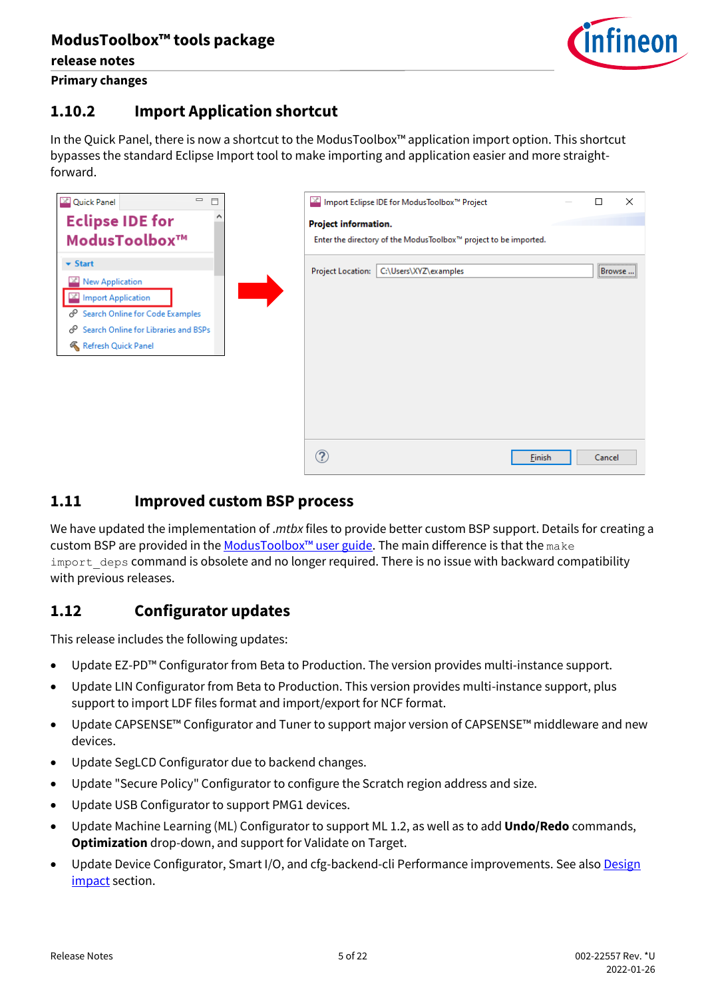

**release notes Primary changes**

### **1.10.2 Import Application shortcut**

In the Quick Panel, there is now a shortcut to the ModusToolbox™ application import option. This shortcut bypasses the standard Eclipse Import tool to make importing and application easier and more straightforward.

| $\qquad \qquad \Box$<br><b>X</b> Quick Panel<br>$\Box$                                                                                                                                                |                          | ■ Import Eclipse IDE for ModusToolbox™ Project                   |        |        | $\times$ |
|-------------------------------------------------------------------------------------------------------------------------------------------------------------------------------------------------------|--------------------------|------------------------------------------------------------------|--------|--------|----------|
| <b>Eclipse IDE for</b>                                                                                                                                                                                | Project information.     |                                                                  |        |        |          |
| ModusToolbox™                                                                                                                                                                                         |                          | Enter the directory of the ModusToolbox™ project to be imported. |        |        |          |
| $\blacktriangleright$ Start<br><b>New Application</b><br>$\times$<br><b>Import Application</b><br>Search Online for Code Examples<br>Search Online for Libraries and BSPs<br>ℰ<br>Refresh Quick Panel | <b>Project Location:</b> | C:\Users\XYZ\examples                                            |        | Browse |          |
|                                                                                                                                                                                                       | ?                        |                                                                  | Einish | Cancel |          |

### <span id="page-4-0"></span>**1.11 Improved custom BSP process**

We have updated the implementation of .*mtbx* files to provide better custom BSP support. Details for creating a custom BSP are provided in the ModusToolbox<sup>™</sup> user guide. The main difference is that the make import deps command is obsolete and no longer required. There is no issue with backward compatibility with previous releases.

### <span id="page-4-1"></span>**1.12 Configurator updates**

This release includes the following updates:

- Update EZ-PD™ Configurator from Beta to Production. The version provides multi-instance support.
- Update LIN Configurator from Beta to Production. This version provides multi-instance support, plus support to import LDF files format and import/export for NCF format.
- Update CAPSENSE™ Configurator and Tuner to support major version of CAPSENSE™ middleware and new devices.
- Update SegLCD Configurator due to backend changes.
- Update "Secure Policy" Configurator to configure the Scratch region address and size.
- Update USB Configurator to support PMG1 devices.
- Update Machine Learning (ML) Configurator to support ML 1.2, as well as to add **Undo/Redo** commands, **Optimization** drop-down, and support for Validate on Target.
- Update Device Configurator, Smart I/O, and cfg-backend-cli Performance improvements. See als[o Design](#page-7-0) [impact](#page-7-0) section.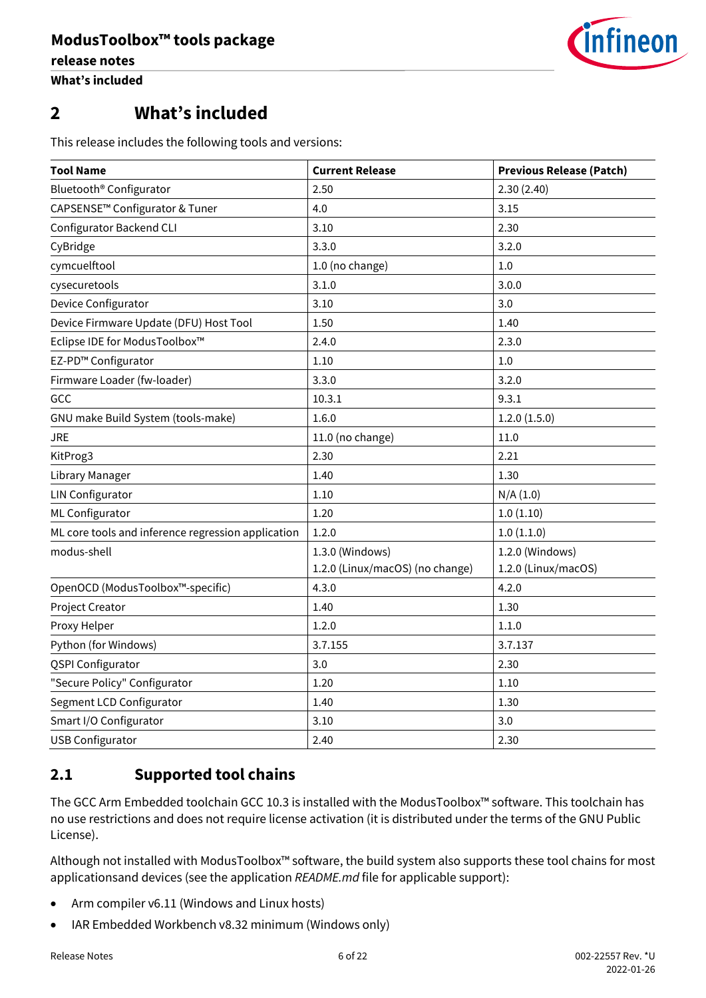

# <span id="page-5-0"></span>**2 What's included**

This release includes the following tools and versions:

| <b>Tool Name</b>                                   | <b>Current Release</b>          | <b>Previous Release (Patch)</b> |
|----------------------------------------------------|---------------------------------|---------------------------------|
| Bluetooth <sup>®</sup> Configurator                | 2.50                            | 2.30(2.40)                      |
| CAPSENSE <sup>™</sup> Configurator & Tuner         | 4.0                             | 3.15                            |
| <b>Configurator Backend CLI</b>                    | 3.10                            | 2.30                            |
| CyBridge                                           | 3.3.0                           | 3.2.0                           |
| cymcuelftool                                       | 1.0 (no change)                 | 1.0                             |
| cysecuretools                                      | 3.1.0                           | 3.0.0                           |
| Device Configurator                                | 3.10                            | 3.0                             |
| Device Firmware Update (DFU) Host Tool             | 1.50                            | 1.40                            |
| Eclipse IDE for ModusToolbox™                      | 2.4.0                           | 2.3.0                           |
| EZ-PD™ Configurator                                | 1.10                            | 1.0                             |
| Firmware Loader (fw-loader)                        | 3.3.0                           | 3.2.0                           |
| GCC                                                | 10.3.1                          | 9.3.1                           |
| GNU make Build System (tools-make)                 | 1.6.0                           | 1.2.0(1.5.0)                    |
| JRE                                                | 11.0 (no change)                | 11.0                            |
| KitProg3                                           | 2.30                            | 2.21                            |
| Library Manager                                    | 1.40                            | 1.30                            |
| <b>LIN Configurator</b>                            | 1.10                            | N/A(1.0)                        |
| ML Configurator                                    | 1.20                            | 1.0(1.10)                       |
| ML core tools and inference regression application | 1.2.0                           | 1.0(1.1.0)                      |
| modus-shell                                        | 1.3.0 (Windows)                 | 1.2.0 (Windows)                 |
|                                                    | 1.2.0 (Linux/macOS) (no change) | 1.2.0 (Linux/macOS)             |
| OpenOCD (ModusToolbox™-specific)                   | 4.3.0                           | 4.2.0                           |
| Project Creator                                    | 1.40                            | 1.30                            |
| Proxy Helper                                       | 1.2.0                           | 1.1.0                           |
| Python (for Windows)                               | 3.7.155                         | 3.7.137                         |
| <b>QSPI Configurator</b>                           | 3.0                             | 2.30                            |
| "Secure Policy" Configurator                       | 1.20                            | 1.10                            |
| Segment LCD Configurator                           | 1.40                            | 1.30                            |
| Smart I/O Configurator                             | 3.10                            | 3.0                             |
| <b>USB Configurator</b>                            | 2.40                            | 2.30                            |

### <span id="page-5-1"></span>**2.1 Supported tool chains**

The GCC Arm Embedded toolchain GCC 10.3 is installed with the ModusToolbox™ software. This toolchain has no use restrictions and does not require license activation (it is distributed under the terms of the GNU Public License).

Although not installed with ModusToolbox™ software, the build system also supports these tool chains for most applicationsand devices (see the application *README.md* file for applicable support):

- Arm compiler v6.11 (Windows and Linux hosts)
- IAR Embedded Workbench v8.32 minimum (Windows only)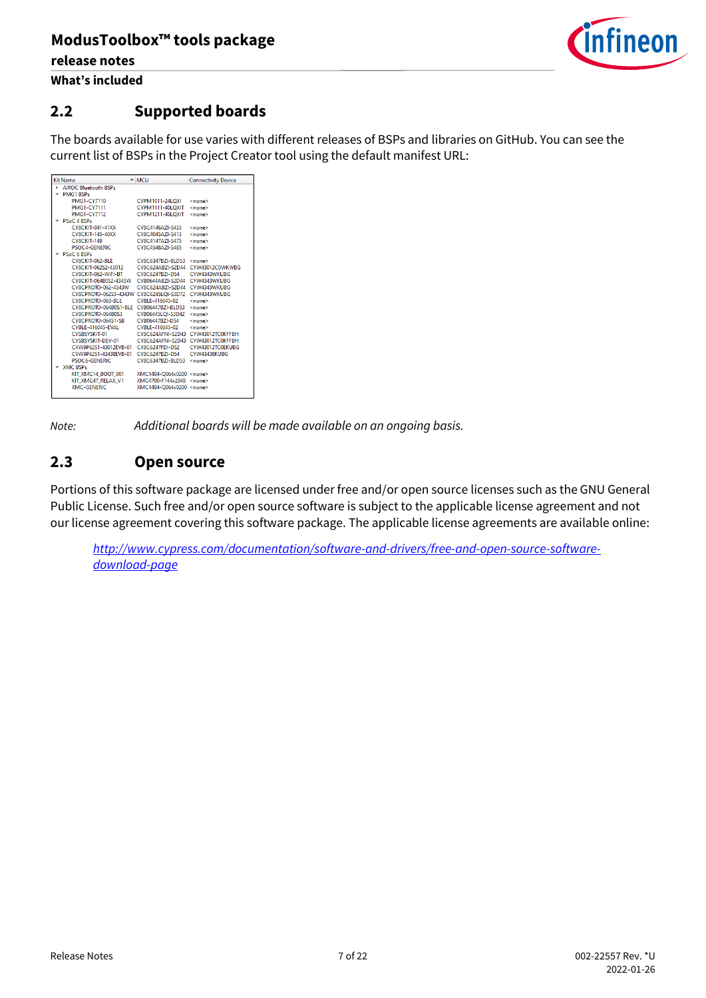

**What's included**

### <span id="page-6-0"></span>**2.2 Supported boards**

The boards available for use varies with different releases of BSPs and libraries on GitHub. You can see the current list of BSPs in the Project Creator tool using the default manifest URL:

|    | <b>Kit Name</b>                                      | $-$ MCU                            | <b>Connectivity Device</b> |
|----|------------------------------------------------------|------------------------------------|----------------------------|
| ь. | <b>AIROC Bluetooth BSPs</b>                          |                                    |                            |
|    | <b>PMG1 BSPs</b>                                     |                                    |                            |
|    | PMG1-CY7110                                          | <b>CYPM1011-24LOXI</b>             | <none></none>              |
|    | <b>PMG1-CY7111</b>                                   | CYPM1111-40LOXIT                   | <none></none>              |
|    | <b>PMG1-CY7112</b>                                   | CYPM1211-40LOXIT                   | <none></none>              |
|    | PSoC 4 BSPs                                          |                                    |                            |
|    | <b>CY8CKIT-041-41XX</b>                              | CY8C4146AZI-S433                   | <none></none>              |
|    | CY8CKIT-145-40XX                                     | CV8C4045A7I-S413                   | <none></none>              |
|    | <b>CY8CKIT-149</b>                                   | CY8C4147AZI-S475                   | <none></none>              |
|    | PSOC4-GENERIC                                        | CY8C4548A7I-S485                   | <none></none>              |
|    | PSoC 6 BSPs                                          |                                    |                            |
|    | CY8CKIT-062-BLE CY8C6347BZI-BLD53 <none></none>      |                                    |                            |
|    |                                                      |                                    |                            |
|    | CY8CKIT-062-WIFI-BT CY8C6247BZI-D54 CYW4343WKUBG     |                                    |                            |
|    | CY8CKIT-064B0S2-4343W                                | CYB0644ABZI-S2D44 CYW4343WKUBG     |                            |
|    | CY8CPROTO-062-4343W                                  | CY8C624ABZI-S2D44 CYW4343WKUBG     |                            |
|    | CY8CPROTO-062S3-4343W CY8C6245LOI-S3D72 CYW4343WKUBG |                                    |                            |
|    | CY8CPROTO-063-BLE                                    | CYBLE-416045-02                    | <none></none>              |
|    | CY8CPROTO-064B0S1-BLE CYB06447BZI-BLD53              |                                    | <none></none>              |
|    | CY8CPROTO-064B0S3                                    | CYB06445LOI-S3D42                  | <none></none>              |
|    | CY8CPROTO-064S1-SB    CYB06447BZI-D54                |                                    | <none></none>              |
|    | CYBLE-416045-EVAL                                    | CYBLE-416045-02 <none></none>      |                            |
|    | CYSBSYSKIT-01                                        | CY8C624AFNI-S2D43 CYW43012TC0KFFBH |                            |
|    | CYSBSYSKIT-DEV-01                                    | CY8C624AFNI-S2D43 CYW43012TC0KFFBH |                            |
|    | CYW9P62S1-43012EVB-01 CY8C6247EDI-D52                |                                    | CYW43012TC0EKUBG           |
|    | CYW9P62S1-43438EVB-01 CY8C6247BZI-D54                |                                    | CYW43438KUBG               |
|    | PSOC6-GENERIC                                        | CY8C6347BZI-BLD53                  | <none></none>              |
|    | <b>XMC BSPs</b>                                      |                                    |                            |
|    | KIT XMC14 BOOT 001 XMC1404-Q064x0200 <none></none>   |                                    |                            |
|    | KIT XMC47 RELAX V1                                   | XMC4700-F144x2048 <none></none>    |                            |
|    | XMC-GENERIC                                          | XMC1404-O064x0200 <none></none>    |                            |
|    |                                                      |                                    |                            |

*Note: Additional boards will be made available on an ongoing basis.*

### <span id="page-6-1"></span>**2.3 Open source**

Portions of this software package are licensed under free and/or open source licenses such as the GNU General Public License. Such free and/or open source software is subject to the applicable license agreement and not our license agreement covering this software package. The applicable license agreements are available online:

*[http://www.cypress.com/documentation/software-and-drivers/free-and-open-source-software](http://www.cypress.com/documentation/software-and-drivers/free-and-open-source-software-download-page)[download-page](http://www.cypress.com/documentation/software-and-drivers/free-and-open-source-software-download-page)*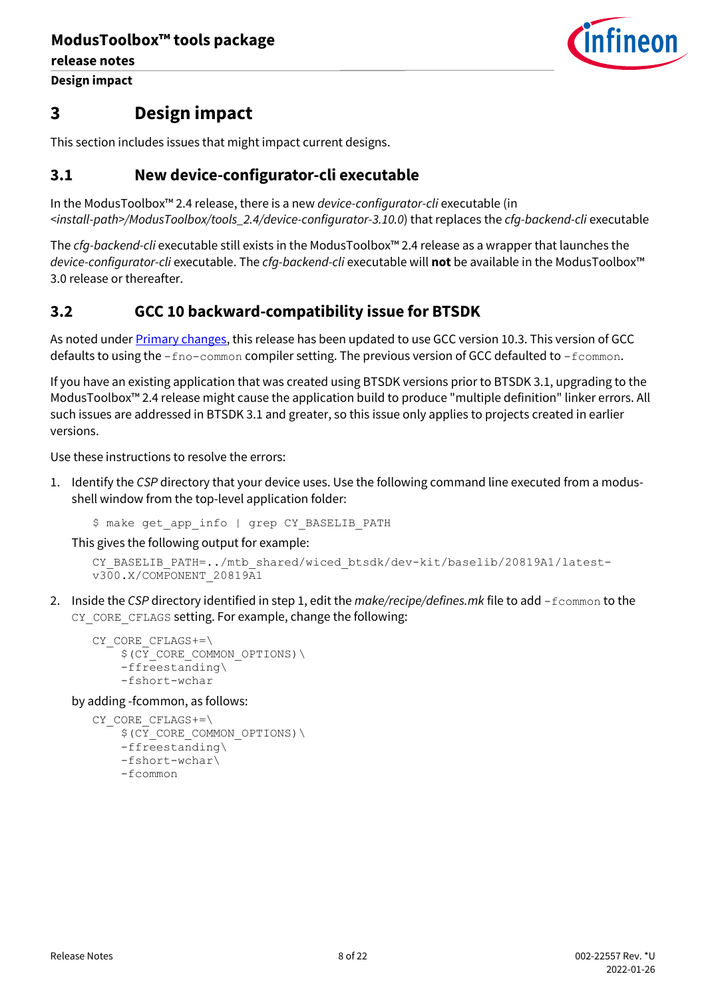**Design impact**



### <span id="page-7-0"></span>**3 Design impact**

This section includes issues that might impact current designs.

### <span id="page-7-1"></span>**3.1 New device-configurator-cli executable**

In the ModusToolbox™ 2.4 release, there is a new *device-configurator-cli* executable (in *<install-path>/ModusToolbox/tools\_2.4/device-configurator-3.10.0*) that replaces the *cfg-backend-cli* executable

The *cfg-backend-cli* executable still exists in the ModusToolbox™ 2.4 release as a wrapper that launches the *device-configurator-cli* executable. The *cfg-backend-cli* executable will **not** be available in the ModusToolbox™ 3.0 release or thereafter.

### <span id="page-7-2"></span>**3.2 GCC 10 backward-compatibility issue for BTSDK**

As noted under **Primary changes**, this release has been updated to use GCC version 10.3. This version of GCC defaults to using the  $-$ fno-common compiler setting. The previous version of GCC defaulted to -fcommon.

If you have an existing application that was created using BTSDK versions prior to BTSDK 3.1, upgrading to the ModusToolbox™ 2.4 release might cause the application build to produce "multiple definition" linker errors. All such issues are addressed in BTSDK 3.1 and greater, so this issue only applies to projects created in earlier versions.

Use these instructions to resolve the errors:

1. Identify the *CSP* directory that your device uses. Use the following command line executed from a modusshell window from the top-level application folder:

```
$ make get app info | grep CY BASELIB PATH
```
This gives the following output for example:

```
CY_BASELIB_PATH=../mtb_shared/wiced_btsdk/dev-kit/baselib/20819A1/latest-
v300.X/COMPONENT_20819A1
```
2. Inside the *CSP* directory identified in step 1, edit the *make/recipe/defines.mk* file to add -fcommon to the CY\_CORE\_CFLAGS setting. For example, change the following:

```
CY_CORE_CFLAGS+=\
    $ (CY CORE COMMON OPTIONS) \
     -ffreestanding\
     -fshort-wchar
```
by adding -fcommon, as follows:

```
CY_CORE_CFLAGS+=\
    $ (CY CORE COMMON OPTIONS) \
     -ffreestanding\
     -fshort-wchar\
     -fcommon
```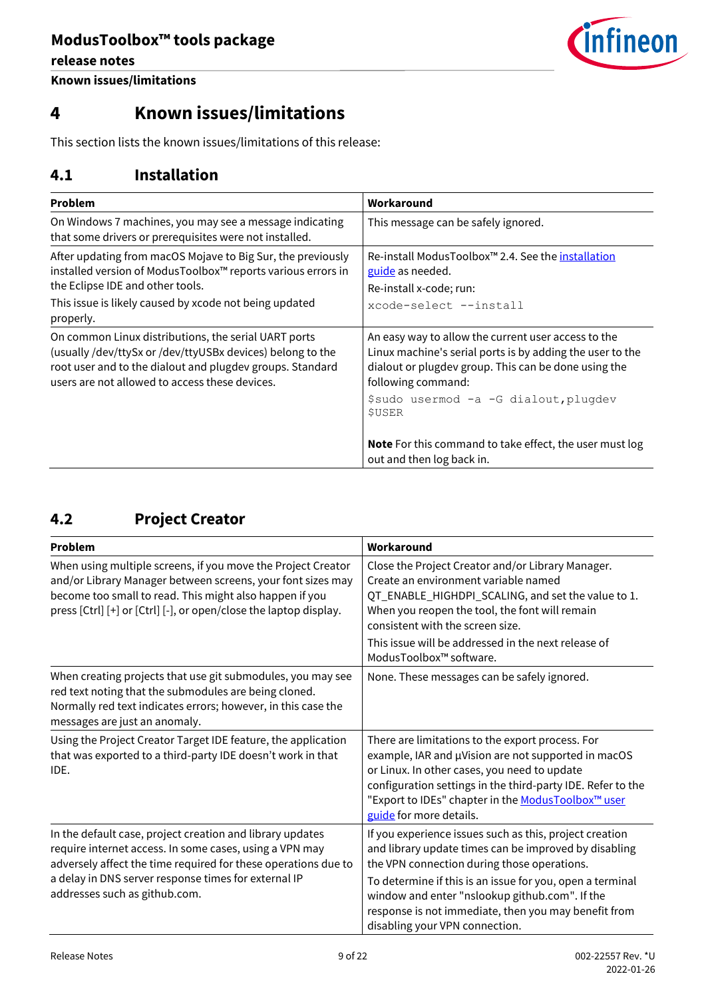**release notes**



**Known issues/limitations**

# <span id="page-8-0"></span>**4 Known issues/limitations**

This section lists the known issues/limitations of this release:

### <span id="page-8-1"></span>**4.1 Installation**

| Problem                                                                                                                                                                                                                                | Workaround                                                                                                                                                                                                                                                                                                                                       |
|----------------------------------------------------------------------------------------------------------------------------------------------------------------------------------------------------------------------------------------|--------------------------------------------------------------------------------------------------------------------------------------------------------------------------------------------------------------------------------------------------------------------------------------------------------------------------------------------------|
| On Windows 7 machines, you may see a message indicating<br>that some drivers or prerequisites were not installed.                                                                                                                      | This message can be safely ignored.                                                                                                                                                                                                                                                                                                              |
| After updating from macOS Mojave to Big Sur, the previously<br>installed version of ModusToolbox™ reports various errors in<br>the Eclipse IDE and other tools.<br>This issue is likely caused by xcode not being updated<br>properly. | Re-install ModusToolbox™ 2.4. See the installation<br>guide as needed.<br>Re-install x-code; run:<br>xcode-select --install                                                                                                                                                                                                                      |
| On common Linux distributions, the serial UART ports<br>(usually /dev/ttySx or /dev/ttyUSBx devices) belong to the<br>root user and to the dialout and plugdev groups. Standard<br>users are not allowed to access these devices.      | An easy way to allow the current user access to the<br>Linux machine's serial ports is by adding the user to the<br>dialout or plugdev group. This can be done using the<br>following command:<br>\$sudo usermod -a -G dialout, plugdev<br><b>\$USER</b><br>Note For this command to take effect, the user must log<br>out and then log back in. |

## <span id="page-8-2"></span>**4.2 Project Creator**

| Problem                                                                                                                                                                                                                                                                         | Workaround                                                                                                                                                                                                                                                                                                                                                               |
|---------------------------------------------------------------------------------------------------------------------------------------------------------------------------------------------------------------------------------------------------------------------------------|--------------------------------------------------------------------------------------------------------------------------------------------------------------------------------------------------------------------------------------------------------------------------------------------------------------------------------------------------------------------------|
| When using multiple screens, if you move the Project Creator<br>and/or Library Manager between screens, your font sizes may<br>become too small to read. This might also happen if you<br>press [Ctrl] [+] or [Ctrl] [-], or open/close the laptop display.                     | Close the Project Creator and/or Library Manager.<br>Create an environment variable named<br>QT_ENABLE_HIGHDPI_SCALING, and set the value to 1.<br>When you reopen the tool, the font will remain<br>consistent with the screen size.<br>This issue will be addressed in the next release of<br>ModusToolbox™ software.                                                  |
| When creating projects that use git submodules, you may see<br>red text noting that the submodules are being cloned.<br>Normally red text indicates errors; however, in this case the<br>messages are just an anomaly.                                                          | None. These messages can be safely ignored.                                                                                                                                                                                                                                                                                                                              |
| Using the Project Creator Target IDE feature, the application<br>that was exported to a third-party IDE doesn't work in that<br>IDE.                                                                                                                                            | There are limitations to the export process. For<br>example, IAR and µVision are not supported in macOS<br>or Linux. In other cases, you need to update<br>configuration settings in the third-party IDE. Refer to the<br>"Export to IDEs" chapter in the ModusToolbox™ user<br>guide for more details.                                                                  |
| In the default case, project creation and library updates<br>require internet access. In some cases, using a VPN may<br>adversely affect the time required for these operations due to<br>a delay in DNS server response times for external IP<br>addresses such as github.com. | If you experience issues such as this, project creation<br>and library update times can be improved by disabling<br>the VPN connection during those operations.<br>To determine if this is an issue for you, open a terminal<br>window and enter "nslookup github.com". If the<br>response is not immediate, then you may benefit from<br>disabling your VPN connection. |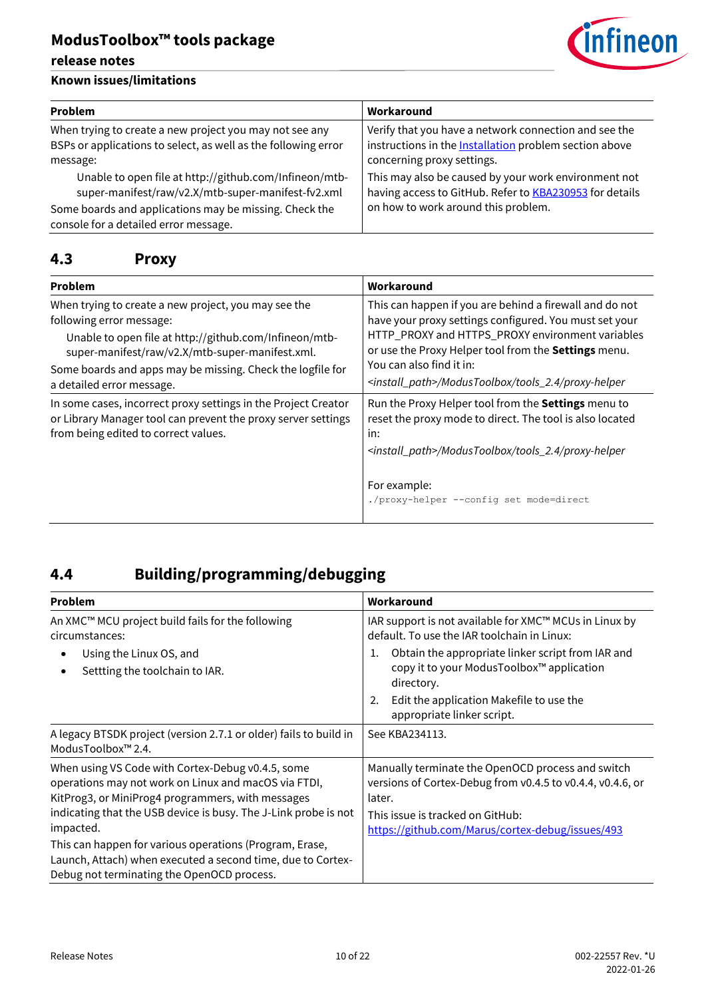### **Known issues/limitations**

| <i><b>Cinfineon</b></i> |  |
|-------------------------|--|
|                         |  |

| <b>Problem</b>                                                                                                                                                                                                  | Workaround                                                                                                                                                    |
|-----------------------------------------------------------------------------------------------------------------------------------------------------------------------------------------------------------------|---------------------------------------------------------------------------------------------------------------------------------------------------------------|
| When trying to create a new project you may not see any<br>BSPs or applications to select, as well as the following error<br>message:                                                                           | Verify that you have a network connection and see the<br>instructions in the <b>Installation</b> problem section above<br>concerning proxy settings.          |
| Unable to open file at http://github.com/Infineon/mtb-<br>super-manifest/raw/v2.X/mtb-super-manifest-fv2.xml<br>Some boards and applications may be missing. Check the<br>console for a detailed error message. | This may also be caused by your work environment not<br>having access to GitHub. Refer to <b>KBA230953</b> for details<br>on how to work around this problem. |

## <span id="page-9-0"></span>**4.3 Proxy**

| Problem                                                                                                                                                                                       | Workaround                                                                                                                                                                                                                                                |  |
|-----------------------------------------------------------------------------------------------------------------------------------------------------------------------------------------------|-----------------------------------------------------------------------------------------------------------------------------------------------------------------------------------------------------------------------------------------------------------|--|
| When trying to create a new project, you may see the<br>following error message:<br>Unable to open file at http://github.com/Infineon/mtb-<br>super-manifest/raw/v2.X/mtb-super-manifest.xml. | This can happen if you are behind a firewall and do not<br>have your proxy settings configured. You must set your<br>HTTP_PROXY and HTTPS_PROXY environment variables<br>or use the Proxy Helper tool from the Settings menu.<br>You can also find it in: |  |
| Some boards and apps may be missing. Check the logfile for<br>a detailed error message.                                                                                                       | <install_path>/ModusToolbox/tools_2.4/proxy-helper</install_path>                                                                                                                                                                                         |  |
| In some cases, incorrect proxy settings in the Project Creator<br>or Library Manager tool can prevent the proxy server settings<br>from being edited to correct values.                       | Run the Proxy Helper tool from the Settings menu to<br>reset the proxy mode to direct. The tool is also located<br>in:<br><install_path>/ModusToolbox/tools_2.4/proxy-helper</install_path>                                                               |  |
|                                                                                                                                                                                               | For example:<br>./proxy-helper --config set mode=direct                                                                                                                                                                                                   |  |

# <span id="page-9-1"></span>**4.4 Building/programming/debugging**

| <b>Problem</b>                                                                                                                                                                                                                                 | Workaround                                                                                                                                                                                                                  |  |
|------------------------------------------------------------------------------------------------------------------------------------------------------------------------------------------------------------------------------------------------|-----------------------------------------------------------------------------------------------------------------------------------------------------------------------------------------------------------------------------|--|
| An XMC™ MCU project build fails for the following<br>circumstances:<br>Using the Linux OS, and<br>Settting the toolchain to IAR.                                                                                                               | IAR support is not available for XMC™ MCUs in Linux by<br>default. To use the IAR toolchain in Linux:<br>Obtain the appropriate linker script from IAR and<br>1.<br>copy it to your ModusToolbox™ application<br>directory. |  |
|                                                                                                                                                                                                                                                | Edit the application Makefile to use the<br>2.<br>appropriate linker script.                                                                                                                                                |  |
| A legacy BTSDK project (version 2.7.1 or older) fails to build in<br>ModusToolbox <sup>™</sup> 2.4.                                                                                                                                            | See KBA234113.                                                                                                                                                                                                              |  |
| When using VS Code with Cortex-Debug v0.4.5, some<br>operations may not work on Linux and macOS via FTDI,<br>KitProg3, or MiniProg4 programmers, with messages<br>indicating that the USB device is busy. The J-Link probe is not<br>impacted. | Manually terminate the OpenOCD process and switch<br>versions of Cortex-Debug from v0.4.5 to v0.4.4, v0.4.6, or<br>later.<br>This issue is tracked on GitHub:<br>https://github.com/Marus/cortex-debug/issues/493           |  |
| This can happen for various operations (Program, Erase,<br>Launch, Attach) when executed a second time, due to Cortex-<br>Debug not terminating the OpenOCD process.                                                                           |                                                                                                                                                                                                                             |  |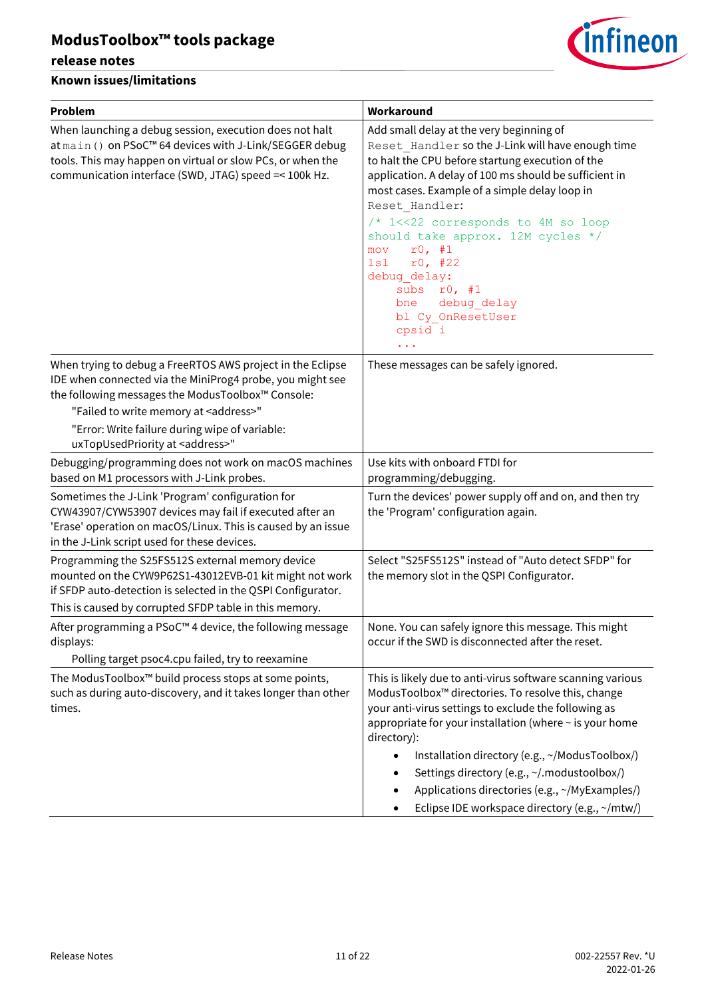### **release notes**



| <b>Problem</b>                                                                                                                                                                                                                            | Workaround                                                                                                                                                                                                                                                                                                                                                                                                                                                                           |
|-------------------------------------------------------------------------------------------------------------------------------------------------------------------------------------------------------------------------------------------|--------------------------------------------------------------------------------------------------------------------------------------------------------------------------------------------------------------------------------------------------------------------------------------------------------------------------------------------------------------------------------------------------------------------------------------------------------------------------------------|
| When launching a debug session, execution does not halt<br>at main () on PSoC™ 64 devices with J-Link/SEGGER debug<br>tools. This may happen on virtual or slow PCs, or when the<br>communication interface (SWD, JTAG) speed =< 100k Hz. | Add small delay at the very beginning of<br>Reset Handler so the J-Link will have enough time<br>to halt the CPU before startung execution of the<br>application. A delay of 100 ms should be sufficient in<br>most cases. Example of a simple delay loop in<br>Reset Handler:<br>/* 1<<22 corresponds to 4M so loop<br>should take approx. 12M cycles */<br>r0, #1<br>mov<br>r0, #22<br>lsl<br>debug delay:<br>subs<br>r0, #1<br>debug delay<br>bne<br>bl Cy OnResetUser<br>cpsid i |
| When trying to debug a FreeRTOS AWS project in the Eclipse<br>IDE when connected via the MiniProg4 probe, you might see<br>the following messages the ModusToolbox™ Console:                                                              | These messages can be safely ignored.                                                                                                                                                                                                                                                                                                                                                                                                                                                |
| "Failed to write memory at <address>"<br/>"Error: Write failure during wipe of variable:<br/>uxTopUsedPriority at <address>"</address></address>                                                                                          |                                                                                                                                                                                                                                                                                                                                                                                                                                                                                      |
| Debugging/programming does not work on macOS machines<br>based on M1 processors with J-Link probes.                                                                                                                                       | Use kits with onboard FTDI for<br>programming/debugging.                                                                                                                                                                                                                                                                                                                                                                                                                             |
| Sometimes the J-Link 'Program' configuration for<br>CYW43907/CYW53907 devices may fail if executed after an<br>'Erase' operation on macOS/Linux. This is caused by an issue<br>in the J-Link script used for these devices.               | Turn the devices' power supply off and on, and then try<br>the 'Program' configuration again.                                                                                                                                                                                                                                                                                                                                                                                        |
| Programming the S25FS512S external memory device<br>mounted on the CYW9P62S1-43012EVB-01 kit might not work<br>if SFDP auto-detection is selected in the QSPI Configurator.<br>This is caused by corrupted SFDP table in this memory.     | Select "S25FS512S" instead of "Auto detect SFDP" for<br>the memory slot in the QSPI Configurator.                                                                                                                                                                                                                                                                                                                                                                                    |
| After programming a PSoC™4 device, the following message<br>displays:<br>Polling target psoc4.cpu failed, try to reexamine                                                                                                                | None. You can safely ignore this message. This might<br>occur if the SWD is disconnected after the reset.                                                                                                                                                                                                                                                                                                                                                                            |
| The ModusToolbox™ build process stops at some points,<br>such as during auto-discovery, and it takes longer than other<br>times.                                                                                                          | This is likely due to anti-virus software scanning various<br>ModusToolbox™ directories. To resolve this, change<br>your anti-virus settings to exclude the following as<br>appropriate for your installation (where ~ is your home<br>directory):<br>Installation directory (e.g., ~/ModusToolbox/)<br>$\bullet$<br>Settings directory (e.g., ~/.modustoolbox/)<br>Applications directories (e.g., ~/MyExamples/)<br>Eclipse IDE workspace directory (e.g., ~/mtw/)                 |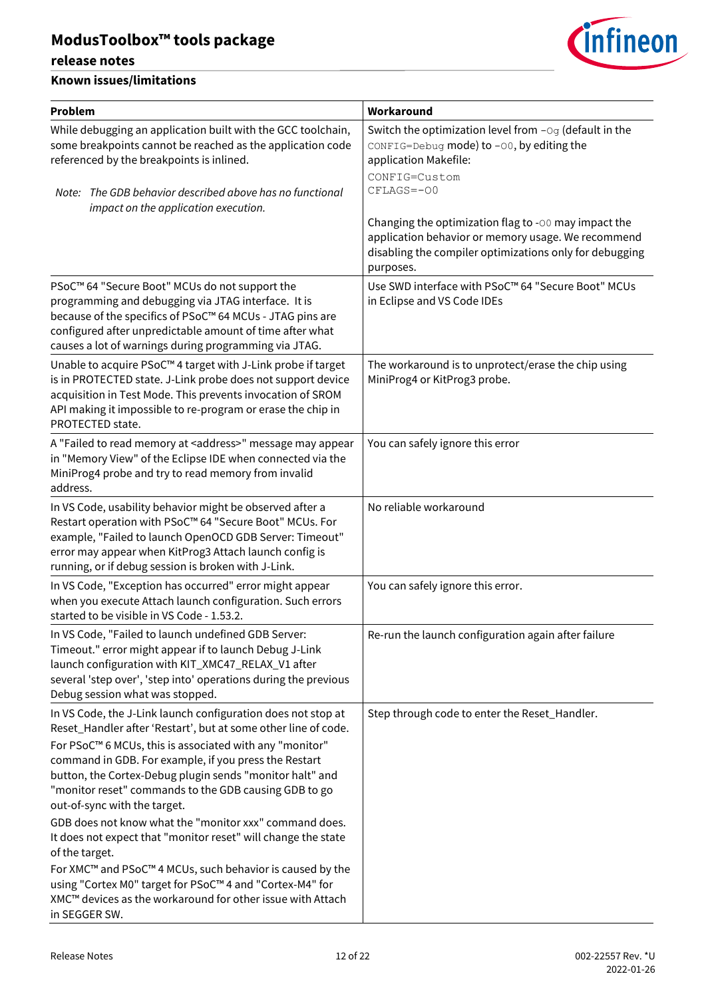### **release notes**



| Problem                                                                                                                                                                                                                                                                                                                                                                                                 | Workaround                                                                                                                                                                         |
|---------------------------------------------------------------------------------------------------------------------------------------------------------------------------------------------------------------------------------------------------------------------------------------------------------------------------------------------------------------------------------------------------------|------------------------------------------------------------------------------------------------------------------------------------------------------------------------------------|
| While debugging an application built with the GCC toolchain,<br>some breakpoints cannot be reached as the application code<br>referenced by the breakpoints is inlined.                                                                                                                                                                                                                                 | Switch the optimization level from $-\circ q$ (default in the<br>CONFIG=Debug mode) to -00, by editing the<br>application Makefile:<br>CONFIG=Custom                               |
| Note: The GDB behavior described above has no functional<br>impact on the application execution.                                                                                                                                                                                                                                                                                                        | CFLAGS=-00                                                                                                                                                                         |
|                                                                                                                                                                                                                                                                                                                                                                                                         | Changing the optimization flag to -00 may impact the<br>application behavior or memory usage. We recommend<br>disabling the compiler optimizations only for debugging<br>purposes. |
| PSoC™ 64 "Secure Boot" MCUs do not support the<br>programming and debugging via JTAG interface. It is<br>because of the specifics of PSoC™ 64 MCUs - JTAG pins are<br>configured after unpredictable amount of time after what<br>causes a lot of warnings during programming via JTAG.                                                                                                                 | Use SWD interface with PSoC™ 64 "Secure Boot" MCUs<br>in Eclipse and VS Code IDEs                                                                                                  |
| Unable to acquire PSoC™4 target with J-Link probe if target<br>is in PROTECTED state. J-Link probe does not support device<br>acquisition in Test Mode. This prevents invocation of SROM<br>API making it impossible to re-program or erase the chip in<br>PROTECTED state.                                                                                                                             | The workaround is to unprotect/erase the chip using<br>MiniProg4 or KitProg3 probe.                                                                                                |
| A "Failed to read memory at <address>" message may appear<br/>in "Memory View" of the Eclipse IDE when connected via the<br/>MiniProg4 probe and try to read memory from invalid<br/>address.</address>                                                                                                                                                                                                 | You can safely ignore this error                                                                                                                                                   |
| In VS Code, usability behavior might be observed after a<br>Restart operation with PSoC™ 64 "Secure Boot" MCUs. For<br>example, "Failed to launch OpenOCD GDB Server: Timeout"<br>error may appear when KitProg3 Attach launch config is<br>running, or if debug session is broken with J-Link.                                                                                                         | No reliable workaround                                                                                                                                                             |
| In VS Code, "Exception has occurred" error might appear<br>when you execute Attach launch configuration. Such errors<br>started to be visible in VS Code - 1.53.2.                                                                                                                                                                                                                                      | You can safely ignore this error.                                                                                                                                                  |
| In VS Code, "Failed to launch undefined GDB Server:<br>Timeout." error might appear if to launch Debug J-Link<br>launch configuration with KIT_XMC47_RELAX_V1 after<br>several 'step over', 'step into' operations during the previous<br>Debug session what was stopped.                                                                                                                               | Re-run the launch configuration again after failure                                                                                                                                |
| In VS Code, the J-Link launch configuration does not stop at<br>Reset_Handler after 'Restart', but at some other line of code.<br>For PSoC™ 6 MCUs, this is associated with any "monitor"<br>command in GDB. For example, if you press the Restart<br>button, the Cortex-Debug plugin sends "monitor halt" and<br>"monitor reset" commands to the GDB causing GDB to go<br>out-of-sync with the target. | Step through code to enter the Reset_Handler.                                                                                                                                      |
| GDB does not know what the "monitor xxx" command does.<br>It does not expect that "monitor reset" will change the state<br>of the target.<br>For XMC™ and PSoC™ 4 MCUs, such behavior is caused by the<br>using "Cortex M0" target for PSoC™4 and "Cortex-M4" for<br>XMC™ devices as the workaround for other issue with Attach<br>in SEGGER SW.                                                        |                                                                                                                                                                                    |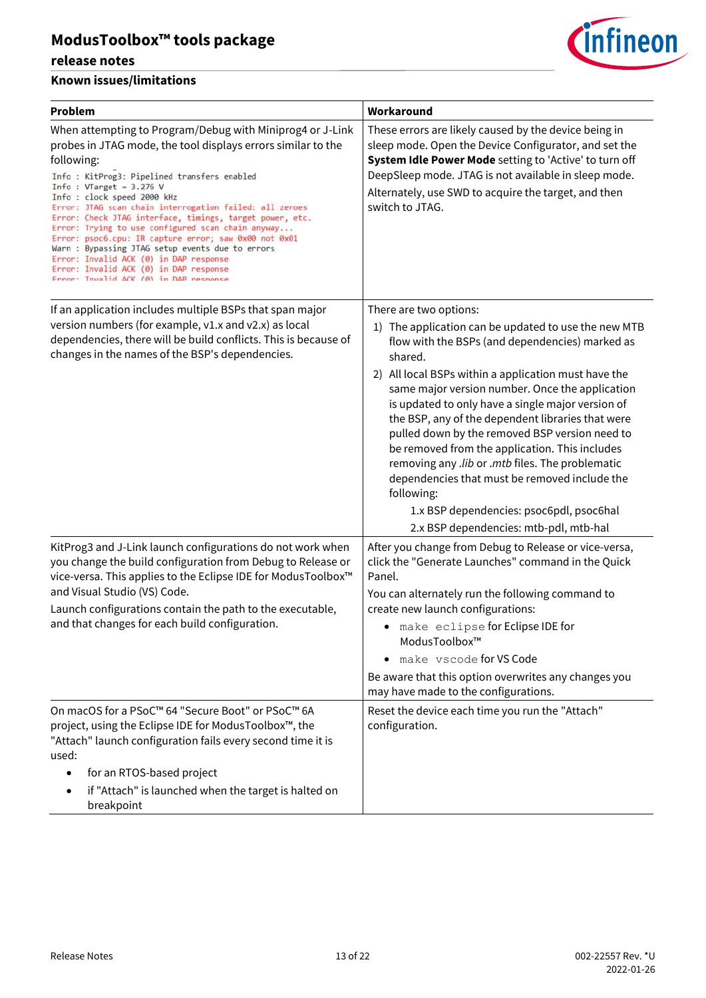

| <b>Problem</b>                                                                                                                                                                                                                                                                                                                                                                                                                                                                                                                                                                                                                                                            | Workaround                                                                                                                                                                                                                                                                                                                                                                                                                                                                                                                                                                                                                                                                     |
|---------------------------------------------------------------------------------------------------------------------------------------------------------------------------------------------------------------------------------------------------------------------------------------------------------------------------------------------------------------------------------------------------------------------------------------------------------------------------------------------------------------------------------------------------------------------------------------------------------------------------------------------------------------------------|--------------------------------------------------------------------------------------------------------------------------------------------------------------------------------------------------------------------------------------------------------------------------------------------------------------------------------------------------------------------------------------------------------------------------------------------------------------------------------------------------------------------------------------------------------------------------------------------------------------------------------------------------------------------------------|
| When attempting to Program/Debug with Miniprog4 or J-Link<br>probes in JTAG mode, the tool displays errors similar to the<br>following:<br>Info : KitProg3: Pipelined transfers enabled<br>Info: $VTarget = 3.276 V$<br>Info: clock speed 2000 kHz<br>Error: JTAG scan chain interrogation failed: all zeroes<br>Error: Check JTAG interface, timings, target power, etc.<br>Error: Trying to use configured scan chain anyway<br>Error: psoc6.cpu: IR capture error; saw 0x00 not 0x01<br>Warn : Bypassing JTAG setup events due to errors<br>Error: Invalid ACK (0) in DAP response<br>Error: Invalid ACK (0) in DAP response<br>Frror: Invalid ACK (0) in DAP response | These errors are likely caused by the device being in<br>sleep mode. Open the Device Configurator, and set the<br>System Idle Power Mode setting to 'Active' to turn off<br>DeepSleep mode. JTAG is not available in sleep mode.<br>Alternately, use SWD to acquire the target, and then<br>switch to JTAG.                                                                                                                                                                                                                                                                                                                                                                    |
| If an application includes multiple BSPs that span major<br>version numbers (for example, v1.x and v2.x) as local<br>dependencies, there will be build conflicts. This is because of<br>changes in the names of the BSP's dependencies.                                                                                                                                                                                                                                                                                                                                                                                                                                   | There are two options:<br>1) The application can be updated to use the new MTB<br>flow with the BSPs (and dependencies) marked as<br>shared.<br>2) All local BSPs within a application must have the<br>same major version number. Once the application<br>is updated to only have a single major version of<br>the BSP, any of the dependent libraries that were<br>pulled down by the removed BSP version need to<br>be removed from the application. This includes<br>removing any .lib or .mtb files. The problematic<br>dependencies that must be removed include the<br>following:<br>1.x BSP dependencies: psoc6pdl, psoc6hal<br>2.x BSP dependencies: mtb-pdl, mtb-hal |
| KitProg3 and J-Link launch configurations do not work when<br>you change the build configuration from Debug to Release or<br>vice-versa. This applies to the Eclipse IDE for ModusToolbox™<br>and Visual Studio (VS) Code.<br>Launch configurations contain the path to the executable,<br>and that changes for each build configuration.                                                                                                                                                                                                                                                                                                                                 | After you change from Debug to Release or vice-versa,<br>click the "Generate Launches" command in the Quick<br>Panel.<br>You can alternately run the following command to<br>create new launch configurations:<br>• make eclipse for Eclipse IDE for<br>ModusToolbox™<br>make vscode for VS Code<br>Be aware that this option overwrites any changes you<br>may have made to the configurations.                                                                                                                                                                                                                                                                               |
| On macOS for a PSoC™ 64 "Secure Boot" or PSoC™ 6A<br>project, using the Eclipse IDE for ModusToolbox™, the<br>"Attach" launch configuration fails every second time it is<br>used:<br>for an RTOS-based project<br>if "Attach" is launched when the target is halted on<br>breakpoint                                                                                                                                                                                                                                                                                                                                                                                     | Reset the device each time you run the "Attach"<br>configuration.                                                                                                                                                                                                                                                                                                                                                                                                                                                                                                                                                                                                              |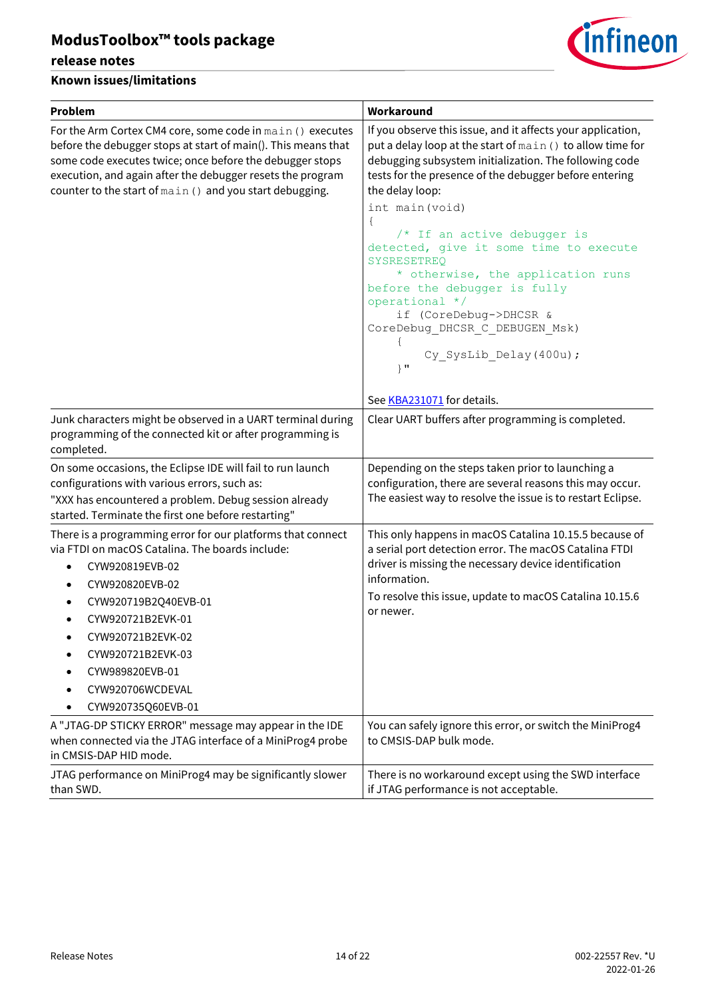### **release notes**



| <b>Problem</b>                                                                                                                                                                                                                                                                                                        | Workaround                                                                                                                                                                                                                                                                                                                                                                                                                                                                                                                                                                              |
|-----------------------------------------------------------------------------------------------------------------------------------------------------------------------------------------------------------------------------------------------------------------------------------------------------------------------|-----------------------------------------------------------------------------------------------------------------------------------------------------------------------------------------------------------------------------------------------------------------------------------------------------------------------------------------------------------------------------------------------------------------------------------------------------------------------------------------------------------------------------------------------------------------------------------------|
| For the Arm Cortex CM4 core, some code in main () executes<br>before the debugger stops at start of main(). This means that<br>some code executes twice; once before the debugger stops<br>execution, and again after the debugger resets the program<br>counter to the start of main () and you start debugging.     | If you observe this issue, and it affects your application,<br>put a delay loop at the start of main () to allow time for<br>debugging subsystem initialization. The following code<br>tests for the presence of the debugger before entering<br>the delay loop:<br>int main (void)<br>$\{$<br>/* If an active debugger is<br>detected, give it some time to execute<br>SYSRESETREO<br>* otherwise, the application runs<br>before the debugger is fully<br>operational */<br>if (CoreDebug->DHCSR &<br>CoreDebug_DHCSR_C_DEBUGEN_Msk)<br>Cy SysLib Delay (400u) ;<br>$\}$ $\mathbf{u}$ |
| Junk characters might be observed in a UART terminal during<br>programming of the connected kit or after programming is<br>completed.                                                                                                                                                                                 | See KBA231071 for details.<br>Clear UART buffers after programming is completed.                                                                                                                                                                                                                                                                                                                                                                                                                                                                                                        |
| On some occasions, the Eclipse IDE will fail to run launch<br>configurations with various errors, such as:<br>"XXX has encountered a problem. Debug session already<br>started. Terminate the first one before restarting"                                                                                            | Depending on the steps taken prior to launching a<br>configuration, there are several reasons this may occur.<br>The easiest way to resolve the issue is to restart Eclipse.                                                                                                                                                                                                                                                                                                                                                                                                            |
| There is a programming error for our platforms that connect<br>via FTDI on macOS Catalina. The boards include:<br>CYW920819EVB-02<br>$\bullet$<br>CYW920820EVB-02<br>CYW920719B2Q40EVB-01<br>CYW920721B2EVK-01<br>CYW920721B2EVK-02<br>CYW920721B2EVK-03<br>CYW989820EVB-01<br>CYW920706WCDEVAL<br>CYW920735Q60EVB-01 | This only happens in macOS Catalina 10.15.5 because of<br>a serial port detection error. The macOS Catalina FTDI<br>driver is missing the necessary device identification<br>information.<br>To resolve this issue, update to macOS Catalina 10.15.6<br>or newer.                                                                                                                                                                                                                                                                                                                       |
| A "JTAG-DP STICKY ERROR" message may appear in the IDE<br>when connected via the JTAG interface of a MiniProg4 probe<br>in CMSIS-DAP HID mode.                                                                                                                                                                        | You can safely ignore this error, or switch the MiniProg4<br>to CMSIS-DAP bulk mode.                                                                                                                                                                                                                                                                                                                                                                                                                                                                                                    |
| JTAG performance on MiniProg4 may be significantly slower<br>than SWD.                                                                                                                                                                                                                                                | There is no workaround except using the SWD interface<br>if JTAG performance is not acceptable.                                                                                                                                                                                                                                                                                                                                                                                                                                                                                         |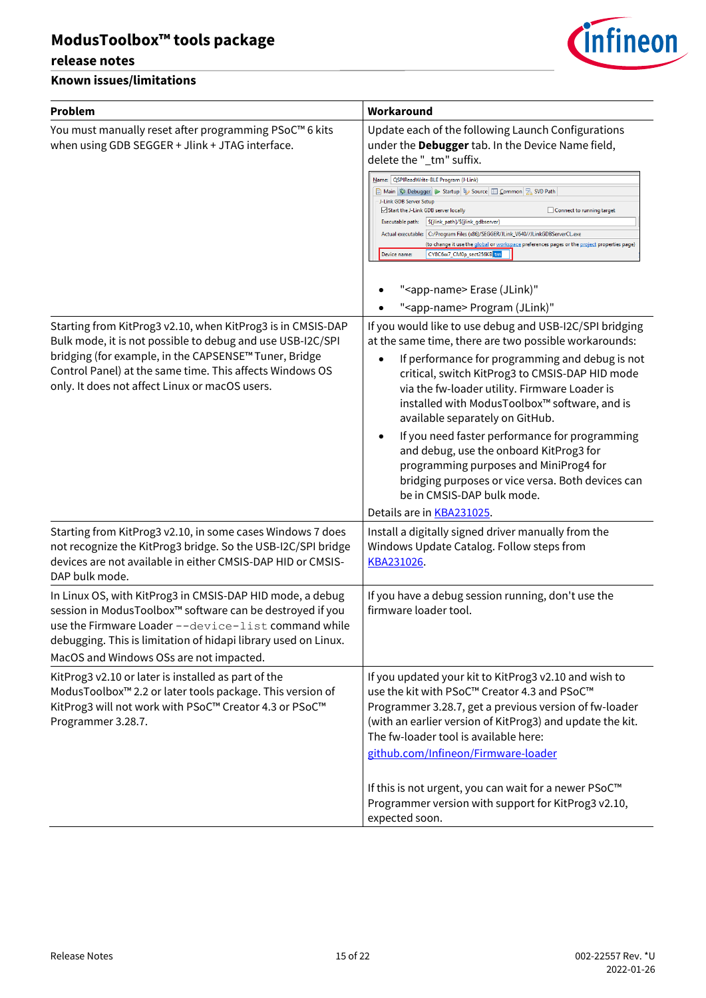### **release notes**



| <b>Problem</b>                                                                                                                                                                                                                                                                                   | Workaround                                                                                                                                                                                                                                                                                                                                                                                                                                                                                                                                                                                                                                           |
|--------------------------------------------------------------------------------------------------------------------------------------------------------------------------------------------------------------------------------------------------------------------------------------------------|------------------------------------------------------------------------------------------------------------------------------------------------------------------------------------------------------------------------------------------------------------------------------------------------------------------------------------------------------------------------------------------------------------------------------------------------------------------------------------------------------------------------------------------------------------------------------------------------------------------------------------------------------|
| You must manually reset after programming PSoC™ 6 kits<br>when using GDB SEGGER + Jlink + JTAG interface.                                                                                                                                                                                        | Update each of the following Launch Configurations<br>under the Debugger tab. In the Device Name field,<br>delete the "_tm" suffix.<br>Name:   QSPIReadWrite-BLE Program (J-Link)<br>■ Main   称 Debugger   ▶ Startup   与 Source   □ Common   另 SVD Path<br>J-Link GDB Server Setup<br>Start the J-Link GDB server locally<br>Connect to running target<br>Executable path:<br>\${jlink_path}/\${jlink_gdbserver}<br>Actual executable:   C:/Program Files (x86)/SEGGER/JLink_V640//JLinkGDBServerCL.exe<br>(to change it use the global or workspace preferences pages or the project properties page)<br>CY8C6xx7_CM0p_sect256KB_tm<br>Device name: |
|                                                                                                                                                                                                                                                                                                  | " <app-name> Erase (JLink)"<br/>"<app-name> Program (JLink)"</app-name></app-name>                                                                                                                                                                                                                                                                                                                                                                                                                                                                                                                                                                   |
| Starting from KitProg3 v2.10, when KitProg3 is in CMSIS-DAP<br>Bulk mode, it is not possible to debug and use USB-I2C/SPI<br>bridging (for example, in the CAPSENSE™ Tuner, Bridge<br>Control Panel) at the same time. This affects Windows OS<br>only. It does not affect Linux or macOS users. | If you would like to use debug and USB-I2C/SPI bridging<br>at the same time, there are two possible workarounds:<br>If performance for programming and debug is not<br>critical, switch KitProg3 to CMSIS-DAP HID mode<br>via the fw-loader utility. Firmware Loader is<br>installed with ModusToolbox™ software, and is<br>available separately on GitHub.<br>If you need faster performance for programming<br>and debug, use the onboard KitProg3 for<br>programming purposes and MiniProg4 for<br>bridging purposes or vice versa. Both devices can<br>be in CMSIS-DAP bulk mode.<br>Details are in <b>KBA231025</b> .                           |
| Starting from KitProg3 v2.10, in some cases Windows 7 does<br>not recognize the KitProg3 bridge. So the USB-I2C/SPI bridge<br>devices are not available in either CMSIS-DAP HID or CMSIS-<br>DAP bulk mode.                                                                                      | Install a digitally signed driver manually from the<br>Windows Update Catalog. Follow steps from<br>KBA231026.                                                                                                                                                                                                                                                                                                                                                                                                                                                                                                                                       |
| In Linux OS, with KitProg3 in CMSIS-DAP HID mode, a debug<br>session in ModusToolbox™ software can be destroyed if you<br>use the Firmware Loader --device-list command while<br>debugging. This is limitation of hidapi library used on Linux.<br>MacOS and Windows OSs are not impacted.       | If you have a debug session running, don't use the<br>firmware loader tool.                                                                                                                                                                                                                                                                                                                                                                                                                                                                                                                                                                          |
| KitProg3 v2.10 or later is installed as part of the<br>ModusToolbox <sup>™</sup> 2.2 or later tools package. This version of<br>KitProg3 will not work with PSoC™ Creator 4.3 or PSoC™<br>Programmer 3.28.7.                                                                                     | If you updated your kit to KitProg3 v2.10 and wish to<br>use the kit with PSoC™ Creator 4.3 and PSoC™<br>Programmer 3.28.7, get a previous version of fw-loader<br>(with an earlier version of KitProg3) and update the kit.<br>The fw-loader tool is available here:<br>github.com/Infineon/Firmware-loader                                                                                                                                                                                                                                                                                                                                         |
|                                                                                                                                                                                                                                                                                                  | If this is not urgent, you can wait for a newer PSoC <sup>™</sup><br>Programmer version with support for KitProg3 v2.10,<br>expected soon.                                                                                                                                                                                                                                                                                                                                                                                                                                                                                                           |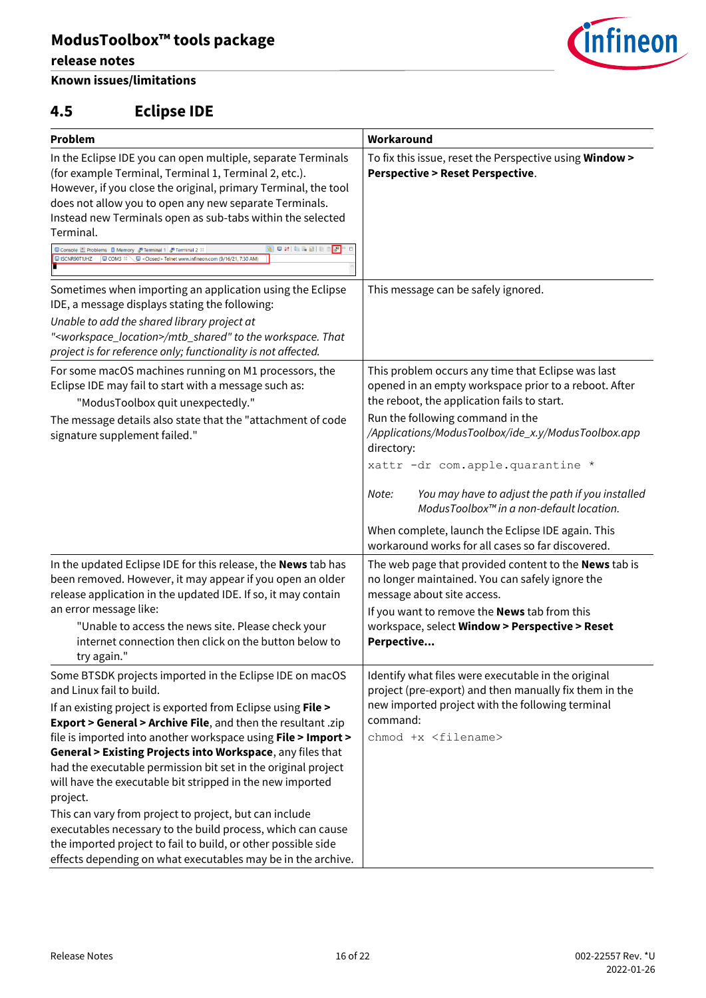### **Known issues/limitations**

## <span id="page-15-0"></span>**4.5 Eclipse IDE**

| <i><b>Cinfineon</b></i> |
|-------------------------|
|                         |

| Problem                                                                                                                                                                                                                                                                                                                                                                                                                                                                                  | Workaround                                                                                                                                                 |
|------------------------------------------------------------------------------------------------------------------------------------------------------------------------------------------------------------------------------------------------------------------------------------------------------------------------------------------------------------------------------------------------------------------------------------------------------------------------------------------|------------------------------------------------------------------------------------------------------------------------------------------------------------|
| In the Eclipse IDE you can open multiple, separate Terminals<br>(for example Terminal, Terminal 1, Terminal 2, etc.).<br>However, if you close the original, primary Terminal, the tool<br>does not allow you to open any new separate Terminals.<br>Instead new Terminals open as sub-tabs within the selected<br>Terminal.<br>日内国家国家<br>Console Problems II Memory & Terminal 1 & Terminal 2 88<br>  8   -<br>USCNR90T1JHZ  UCOM3 ¤ Closed> Telnet www.infineon.com (9/16/21, 7:30 AM) | To fix this issue, reset the Perspective using Window ><br><b>Perspective &gt; Reset Perspective.</b>                                                      |
| Sometimes when importing an application using the Eclipse<br>IDE, a message displays stating the following:<br>Unable to add the shared library project at<br>" <workspace_location>/mtb_shared" to the workspace. That<br/>project is for reference only; functionality is not affected.</workspace_location>                                                                                                                                                                           | This message can be safely ignored.                                                                                                                        |
| For some macOS machines running on M1 processors, the<br>Eclipse IDE may fail to start with a message such as:<br>"ModusToolbox quit unexpectedly."                                                                                                                                                                                                                                                                                                                                      | This problem occurs any time that Eclipse was last<br>opened in an empty workspace prior to a reboot. After<br>the reboot, the application fails to start. |
| The message details also state that the "attachment of code<br>signature supplement failed."                                                                                                                                                                                                                                                                                                                                                                                             | Run the following command in the<br>/Applications/ModusToolbox/ide_x.y/ModusToolbox.app<br>directory:                                                      |
|                                                                                                                                                                                                                                                                                                                                                                                                                                                                                          | xattr -dr com.apple.quarantine *                                                                                                                           |
|                                                                                                                                                                                                                                                                                                                                                                                                                                                                                          | You may have to adjust the path if you installed<br>Note:<br>ModusToolbox™ in a non-default location.                                                      |
|                                                                                                                                                                                                                                                                                                                                                                                                                                                                                          | When complete, launch the Eclipse IDE again. This<br>workaround works for all cases so far discovered.                                                     |
| In the updated Eclipse IDE for this release, the News tab has<br>been removed. However, it may appear if you open an older<br>release application in the updated IDE. If so, it may contain                                                                                                                                                                                                                                                                                              | The web page that provided content to the News tab is<br>no longer maintained. You can safely ignore the<br>message about site access.                     |
| an error message like:<br>"Unable to access the news site. Please check your<br>internet connection then click on the button below to<br>try again."                                                                                                                                                                                                                                                                                                                                     | If you want to remove the <b>News</b> tab from this<br>workspace, select Window > Perspective > Reset<br>Perpective                                        |
| Some BTSDK projects imported in the Eclipse IDE on macOS<br>and Linux fail to build.                                                                                                                                                                                                                                                                                                                                                                                                     | Identify what files were executable in the original<br>project (pre-export) and then manually fix them in the                                              |
| If an existing project is exported from Eclipse using File ><br>Export > General > Archive File, and then the resultant .zip                                                                                                                                                                                                                                                                                                                                                             | new imported project with the following terminal<br>command:                                                                                               |
| file is imported into another workspace using File > Import >                                                                                                                                                                                                                                                                                                                                                                                                                            | chmod +x <filename></filename>                                                                                                                             |
| General > Existing Projects into Workspace, any files that                                                                                                                                                                                                                                                                                                                                                                                                                               |                                                                                                                                                            |
| had the executable permission bit set in the original project<br>will have the executable bit stripped in the new imported<br>project.                                                                                                                                                                                                                                                                                                                                                   |                                                                                                                                                            |
| This can vary from project to project, but can include                                                                                                                                                                                                                                                                                                                                                                                                                                   |                                                                                                                                                            |
| executables necessary to the build process, which can cause                                                                                                                                                                                                                                                                                                                                                                                                                              |                                                                                                                                                            |
| the imported project to fail to build, or other possible side<br>effects depending on what executables may be in the archive.                                                                                                                                                                                                                                                                                                                                                            |                                                                                                                                                            |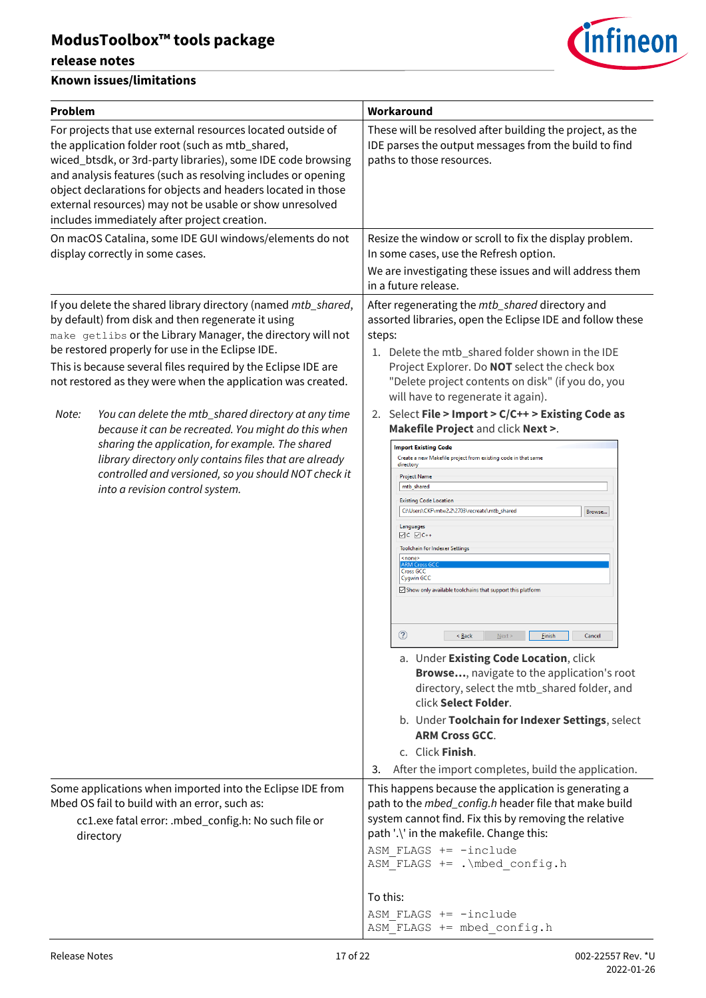### **release notes**



| Problem                                                                                                                                                                                                                                                                                                                                                                                                                                                                                                                                                                                                                                                                                                | Workaround                                                                                                                                                                                                                                                                                                                                                                                                                                                                                                                                                                                                                                                                                                                                                                                                                                                                                                                                                                                                                                                                                                                                                                                                                                                                                                                     |
|--------------------------------------------------------------------------------------------------------------------------------------------------------------------------------------------------------------------------------------------------------------------------------------------------------------------------------------------------------------------------------------------------------------------------------------------------------------------------------------------------------------------------------------------------------------------------------------------------------------------------------------------------------------------------------------------------------|--------------------------------------------------------------------------------------------------------------------------------------------------------------------------------------------------------------------------------------------------------------------------------------------------------------------------------------------------------------------------------------------------------------------------------------------------------------------------------------------------------------------------------------------------------------------------------------------------------------------------------------------------------------------------------------------------------------------------------------------------------------------------------------------------------------------------------------------------------------------------------------------------------------------------------------------------------------------------------------------------------------------------------------------------------------------------------------------------------------------------------------------------------------------------------------------------------------------------------------------------------------------------------------------------------------------------------|
| For projects that use external resources located outside of<br>the application folder root (such as mtb_shared,<br>wiced_btsdk, or 3rd-party libraries), some IDE code browsing<br>and analysis features (such as resolving includes or opening<br>object declarations for objects and headers located in those<br>external resources) may not be usable or show unresolved<br>includes immediately after project creation.                                                                                                                                                                                                                                                                            | These will be resolved after building the project, as the<br>IDE parses the output messages from the build to find<br>paths to those resources.                                                                                                                                                                                                                                                                                                                                                                                                                                                                                                                                                                                                                                                                                                                                                                                                                                                                                                                                                                                                                                                                                                                                                                                |
| On macOS Catalina, some IDE GUI windows/elements do not<br>display correctly in some cases.                                                                                                                                                                                                                                                                                                                                                                                                                                                                                                                                                                                                            | Resize the window or scroll to fix the display problem.<br>In some cases, use the Refresh option.<br>We are investigating these issues and will address them<br>in a future release.                                                                                                                                                                                                                                                                                                                                                                                                                                                                                                                                                                                                                                                                                                                                                                                                                                                                                                                                                                                                                                                                                                                                           |
| If you delete the shared library directory (named mtb_shared,<br>by default) from disk and then regenerate it using<br>make getlibs or the Library Manager, the directory will not<br>be restored properly for use in the Eclipse IDE.<br>This is because several files required by the Eclipse IDE are<br>not restored as they were when the application was created.<br>You can delete the mtb_shared directory at any time<br>Note:<br>because it can be recreated. You might do this when<br>sharing the application, for example. The shared<br>library directory only contains files that are already<br>controlled and versioned, so you should NOT check it<br>into a revision control system. | After regenerating the mtb_shared directory and<br>assorted libraries, open the Eclipse IDE and follow these<br>steps:<br>1. Delete the mtb_shared folder shown in the IDE<br>Project Explorer. Do NOT select the check box<br>"Delete project contents on disk" (if you do, you<br>will have to regenerate it again).<br>2. Select File > Import > C/C++ > Existing Code as<br>Makefile Project and click Next >.<br><b>Import Existing Code</b><br>Create a new Makefile project from existing code in that same<br>directory<br><b>Project Name</b><br>mtb_shared<br><b>Existing Code Location</b><br>C:\Users\CKF\mtw2.2\2703\recreate\mtb_shared<br>Browse<br>Languages<br>$\boxdot C$ $\boxdot C$ ++<br>Toolchain for Indexer Settings<br><none><br/><b>ARM Cros</b><br/><b>Cross GCC</b><br/><b>Cygwin GCC</b><br/>Show only available toolchains that support this platform<br/><math>^{\circledR}</math><br/><math>&lt;</math> Back<br/>Next<br/><b>Finish</b><br/>Cancel<br/>a. Under Existing Code Location, click<br/>Browse, navigate to the application's root<br/>directory, select the mtb_shared folder, and<br/>click Select Folder.<br/>b. Under Toolchain for Indexer Settings, select<br/><b>ARM Cross GCC.</b><br/>c. Click Finish.<br/>After the import completes, build the application.<br/>3.</none> |
| Some applications when imported into the Eclipse IDE from<br>Mbed OS fail to build with an error, such as:<br>cc1.exe fatal error: .mbed_config.h: No such file or<br>directory                                                                                                                                                                                                                                                                                                                                                                                                                                                                                                                        | This happens because the application is generating a<br>path to the <i>mbed_config.h</i> header file that make build<br>system cannot find. Fix this by removing the relative<br>path '.\' in the makefile. Change this:<br>ASM FLAGS += -include<br>ASM FLAGS += . \mbed config.h<br>To this:<br>ASM FLAGS $+=$ -include<br>ASM FLAGS += mbed config.h                                                                                                                                                                                                                                                                                                                                                                                                                                                                                                                                                                                                                                                                                                                                                                                                                                                                                                                                                                        |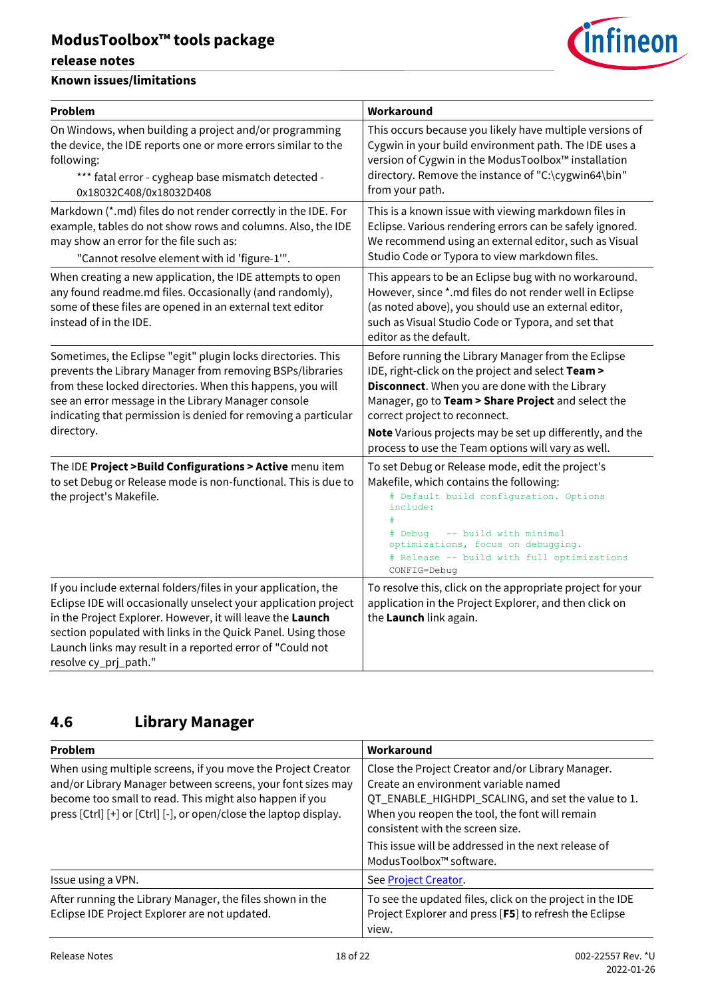### **release notes**

#### **Known issues/limitations**

| <b>Problem</b>                                                                                                                                                                                                                                                                                                                                        | Workaround                                                                                                                                                                                                                                                                                                                                                          |
|-------------------------------------------------------------------------------------------------------------------------------------------------------------------------------------------------------------------------------------------------------------------------------------------------------------------------------------------------------|---------------------------------------------------------------------------------------------------------------------------------------------------------------------------------------------------------------------------------------------------------------------------------------------------------------------------------------------------------------------|
| On Windows, when building a project and/or programming<br>the device, the IDE reports one or more errors similar to the<br>following:<br>*** fatal error - cygheap base mismatch detected -<br>0x18032C408/0x18032D408                                                                                                                                | This occurs because you likely have multiple versions of<br>Cygwin in your build environment path. The IDE uses a<br>version of Cygwin in the ModusToolbox™ installation<br>directory. Remove the instance of "C:\cygwin64\bin"<br>from your path.                                                                                                                  |
| Markdown (*.md) files do not render correctly in the IDE. For<br>example, tables do not show rows and columns. Also, the IDE<br>may show an error for the file such as:<br>"Cannot resolve element with id 'figure-1"".                                                                                                                               | This is a known issue with viewing markdown files in<br>Eclipse. Various rendering errors can be safely ignored.<br>We recommend using an external editor, such as Visual<br>Studio Code or Typora to view markdown files.                                                                                                                                          |
| When creating a new application, the IDE attempts to open<br>any found readme.md files. Occasionally (and randomly),<br>some of these files are opened in an external text editor<br>instead of in the IDE.                                                                                                                                           | This appears to be an Eclipse bug with no workaround.<br>However, since *.md files do not render well in Eclipse<br>(as noted above), you should use an external editor,<br>such as Visual Studio Code or Typora, and set that<br>editor as the default.                                                                                                            |
| Sometimes, the Eclipse "egit" plugin locks directories. This<br>prevents the Library Manager from removing BSPs/libraries<br>from these locked directories. When this happens, you will<br>see an error message in the Library Manager console<br>indicating that permission is denied for removing a particular<br>directory.                        | Before running the Library Manager from the Eclipse<br>IDE, right-click on the project and select Team ><br>Disconnect. When you are done with the Library<br>Manager, go to Team > Share Project and select the<br>correct project to reconnect.<br>Note Various projects may be set up differently, and the<br>process to use the Team options will vary as well. |
| The IDE Project > Build Configurations > Active menu item<br>to set Debug or Release mode is non-functional. This is due to<br>the project's Makefile.                                                                                                                                                                                                | To set Debug or Release mode, edit the project's<br>Makefile, which contains the following:<br># Default build configuration. Options<br>include:<br>-- build with minimal<br># Debug<br>optimizations, focus on debugging.<br># Release -- build with full optimizations<br>CONFIG=Debug                                                                           |
| If you include external folders/files in your application, the<br>Eclipse IDE will occasionally unselect your application project<br>in the Project Explorer. However, it will leave the Launch<br>section populated with links in the Quick Panel. Using those<br>Launch links may result in a reported error of "Could not<br>resolve cy_prj_path." | To resolve this, click on the appropriate project for your<br>application in the Project Explorer, and then click on<br>the Launch link again.                                                                                                                                                                                                                      |

# <span id="page-17-0"></span>**4.6 Library Manager**

| Problem                                                                                                                                                                                                                                                     | Workaround                                                                                                                                                                                                                            |
|-------------------------------------------------------------------------------------------------------------------------------------------------------------------------------------------------------------------------------------------------------------|---------------------------------------------------------------------------------------------------------------------------------------------------------------------------------------------------------------------------------------|
| When using multiple screens, if you move the Project Creator<br>and/or Library Manager between screens, your font sizes may<br>become too small to read. This might also happen if you<br>press [Ctrl] [+] or [Ctrl] [-], or open/close the laptop display. | Close the Project Creator and/or Library Manager.<br>Create an environment variable named<br>QT_ENABLE_HIGHDPI_SCALING, and set the value to 1.<br>When you reopen the tool, the font will remain<br>consistent with the screen size. |
|                                                                                                                                                                                                                                                             | This issue will be addressed in the next release of<br>ModusToolbox™ software.                                                                                                                                                        |
| Issue using a VPN.                                                                                                                                                                                                                                          | See Project Creator.                                                                                                                                                                                                                  |
| After running the Library Manager, the files shown in the<br>Eclipse IDE Project Explorer are not updated.                                                                                                                                                  | To see the updated files, click on the project in the IDE<br>Project Explorer and press [F5] to refresh the Eclipse<br>view.                                                                                                          |

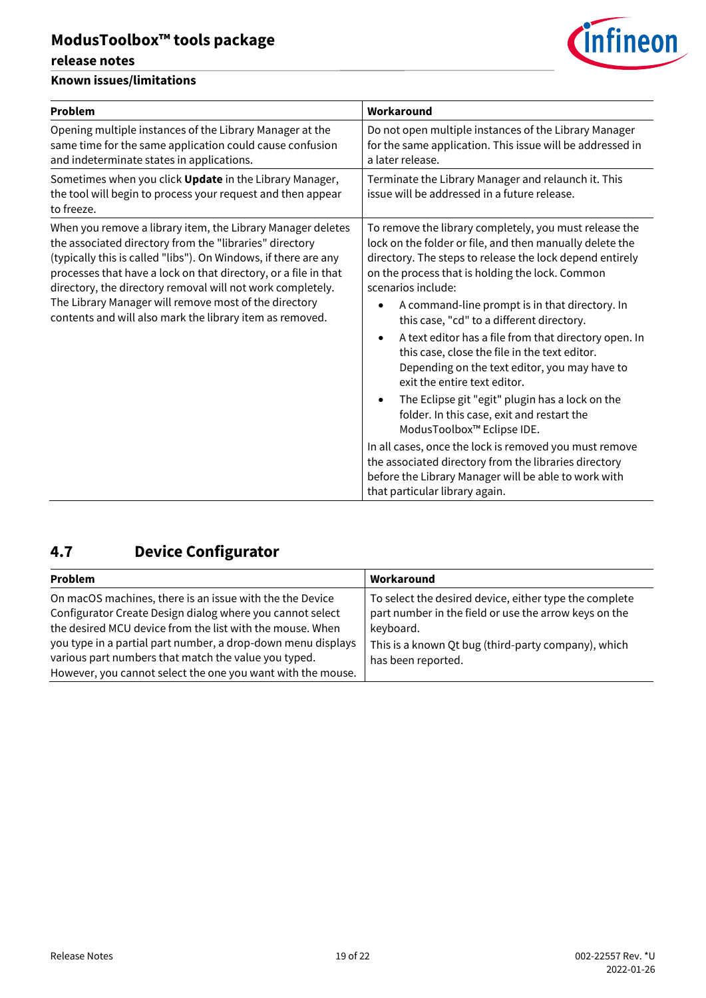#### **release notes**

#### **Known issues/limitations**

| <b>Problem</b>                                                                                                                                                                                                                                                                                                                                                                                                                                  | Workaround                                                                                                                                                                                                                                                                                          |
|-------------------------------------------------------------------------------------------------------------------------------------------------------------------------------------------------------------------------------------------------------------------------------------------------------------------------------------------------------------------------------------------------------------------------------------------------|-----------------------------------------------------------------------------------------------------------------------------------------------------------------------------------------------------------------------------------------------------------------------------------------------------|
| Opening multiple instances of the Library Manager at the<br>same time for the same application could cause confusion<br>and indeterminate states in applications.                                                                                                                                                                                                                                                                               | Do not open multiple instances of the Library Manager<br>for the same application. This issue will be addressed in<br>a later release.                                                                                                                                                              |
| Sometimes when you click Update in the Library Manager,<br>the tool will begin to process your request and then appear<br>to freeze.                                                                                                                                                                                                                                                                                                            | Terminate the Library Manager and relaunch it. This<br>issue will be addressed in a future release.                                                                                                                                                                                                 |
| When you remove a library item, the Library Manager deletes<br>the associated directory from the "libraries" directory<br>(typically this is called "libs"). On Windows, if there are any<br>processes that have a lock on that directory, or a file in that<br>directory, the directory removal will not work completely.<br>The Library Manager will remove most of the directory<br>contents and will also mark the library item as removed. | To remove the library completely, you must release the<br>lock on the folder or file, and then manually delete the<br>directory. The steps to release the lock depend entirely<br>on the process that is holding the lock. Common<br>scenarios include:                                             |
|                                                                                                                                                                                                                                                                                                                                                                                                                                                 | A command-line prompt is in that directory. In<br>this case, "cd" to a different directory.<br>A text editor has a file from that directory open. In<br>$\bullet$<br>this case, close the file in the text editor.<br>Depending on the text editor, you may have to<br>exit the entire text editor. |
|                                                                                                                                                                                                                                                                                                                                                                                                                                                 | The Eclipse git "egit" plugin has a lock on the<br>folder. In this case, exit and restart the<br>ModusToolbox™ Eclipse IDE.                                                                                                                                                                         |
|                                                                                                                                                                                                                                                                                                                                                                                                                                                 | In all cases, once the lock is removed you must remove<br>the associated directory from the libraries directory<br>before the Library Manager will be able to work with<br>that particular library again.                                                                                           |

# <span id="page-18-0"></span>**4.7 Device Configurator**

| Problem                                                                                                                                                                                                                                                                                                                                                                   | Workaround                                                                                                                                                                                                |
|---------------------------------------------------------------------------------------------------------------------------------------------------------------------------------------------------------------------------------------------------------------------------------------------------------------------------------------------------------------------------|-----------------------------------------------------------------------------------------------------------------------------------------------------------------------------------------------------------|
| On macOS machines, there is an issue with the the Device<br>Configurator Create Design dialog where you cannot select<br>the desired MCU device from the list with the mouse. When<br>you type in a partial part number, a drop-down menu displays<br>various part numbers that match the value you typed.<br>However, you cannot select the one you want with the mouse. | To select the desired device, either type the complete<br>part number in the field or use the arrow keys on the<br>keyboard.<br>This is a known Qt bug (third-party company), which<br>has been reported. |

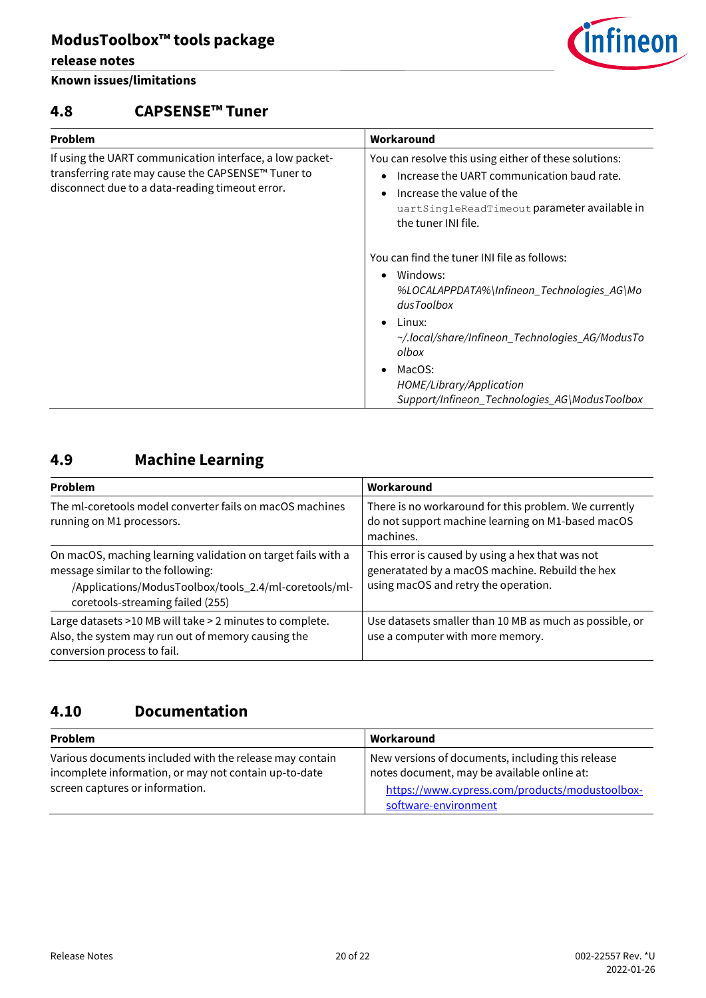#### **release notes**

#### **Known issues/limitations**

### <span id="page-19-0"></span>**4.8 CAPSENSE™ Tuner**

| Problem                                                                                                                                                           | Workaround                                                                                                                                                                                                                |  |
|-------------------------------------------------------------------------------------------------------------------------------------------------------------------|---------------------------------------------------------------------------------------------------------------------------------------------------------------------------------------------------------------------------|--|
| If using the UART communication interface, a low packet-<br>transferring rate may cause the CAPSENSE™ Tuner to<br>disconnect due to a data-reading timeout error. | You can resolve this using either of these solutions:<br>Increase the UART communication baud rate.<br>$\bullet$<br>Increase the value of the<br>٠<br>uartSingleReadTimeout parameter available in<br>the tuner INI file. |  |
|                                                                                                                                                                   | You can find the tuner INI file as follows:<br>Windows:<br>$\bullet$<br>%LOCALAPPDATA%\Infineon_Technologies_AG\Mo<br>dusToolbox<br>Linux:<br>~/.local/share/Infineon_Technologies_AG/ModusTo<br>olbox                    |  |
|                                                                                                                                                                   | MacOS:                                                                                                                                                                                                                    |  |

*HOME/Library/Application* 

*Support/Infineon\_Technologies\_AG\ModusToolbox*

## <span id="page-19-1"></span>**4.9 Machine Learning**

| <b>Problem</b>                                                                                                                                                                                 | Workaround<br>There is no workaround for this problem. We currently<br>do not support machine learning on M1-based macOS<br>machines.<br>This error is caused by using a hex that was not<br>generatated by a macOS machine. Rebuild the hex<br>using macOS and retry the operation. |  |
|------------------------------------------------------------------------------------------------------------------------------------------------------------------------------------------------|--------------------------------------------------------------------------------------------------------------------------------------------------------------------------------------------------------------------------------------------------------------------------------------|--|
| The ml-coretools model converter fails on macOS machines<br>running on M1 processors.                                                                                                          |                                                                                                                                                                                                                                                                                      |  |
| On macOS, maching learning validation on target fails with a<br>message similar to the following:<br>/Applications/ModusToolbox/tools_2.4/ml-coretools/ml-<br>coretools-streaming failed (255) |                                                                                                                                                                                                                                                                                      |  |
| Large datasets >10 MB will take > 2 minutes to complete.<br>Also, the system may run out of memory causing the<br>conversion process to fail.                                                  | Use datasets smaller than 10 MB as much as possible, or<br>use a computer with more memory.                                                                                                                                                                                          |  |

### <span id="page-19-2"></span>**4.10 Documentation**

| <b>Problem</b>                                          | Workaround                                        |
|---------------------------------------------------------|---------------------------------------------------|
| Various documents included with the release may contain | New versions of documents, including this release |
| incomplete information, or may not contain up-to-date   | notes document, may be available online at:       |
| screen captures or information.                         | https://www.cypress.com/products/modustoolbox-    |
|                                                         | software-environment                              |

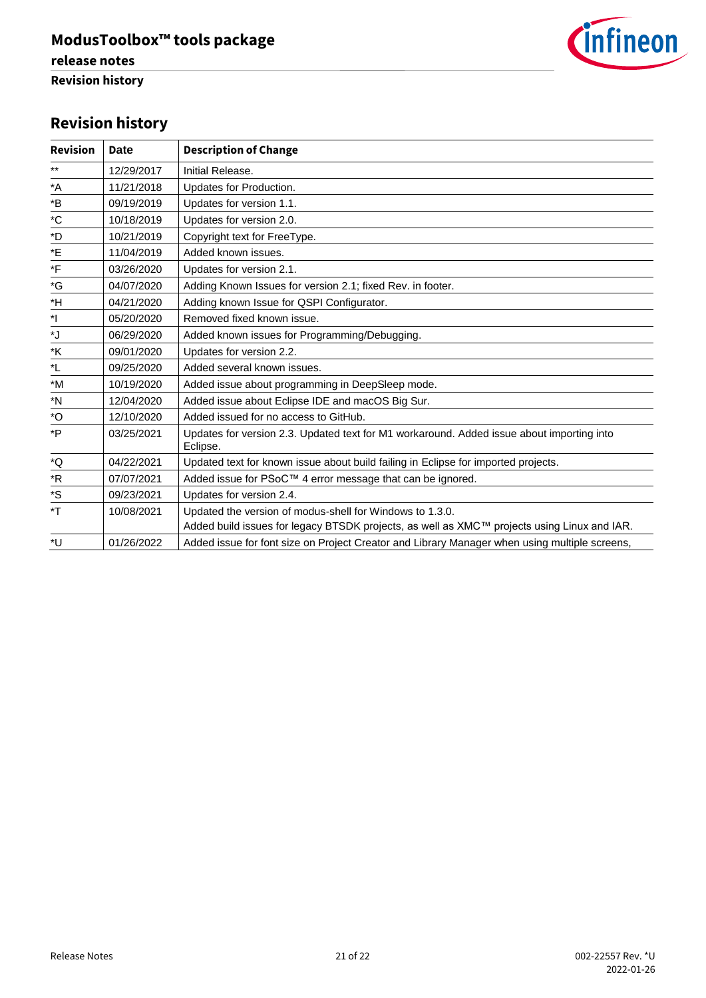

# **Revision history**

| <b>Revision</b>            | Date       | <b>Description of Change</b>                                                                          |
|----------------------------|------------|-------------------------------------------------------------------------------------------------------|
| $***$                      | 12/29/2017 | Initial Release.                                                                                      |
| $\,{}^\star \! \mathsf{A}$ | 11/21/2018 | Updates for Production.                                                                               |
| *B                         | 09/19/2019 | Updates for version 1.1.                                                                              |
| $^{\ast}$ C                | 10/18/2019 | Updates for version 2.0.                                                                              |
| *D                         | 10/21/2019 | Copyright text for FreeType.                                                                          |
| *E                         | 11/04/2019 | Added known issues.                                                                                   |
| *F                         | 03/26/2020 | Updates for version 2.1.                                                                              |
| *G                         | 04/07/2020 | Adding Known Issues for version 2.1; fixed Rev. in footer.                                            |
| *H                         | 04/21/2020 | Adding known Issue for QSPI Configurator.                                                             |
| $^*$                       | 05/20/2020 | Removed fixed known issue.                                                                            |
| ۰J                         | 06/29/2020 | Added known issues for Programming/Debugging.                                                         |
| *K                         | 09/01/2020 | Updates for version 2.2.                                                                              |
| *L                         | 09/25/2020 | Added several known issues.                                                                           |
| $*M$                       | 10/19/2020 | Added issue about programming in DeepSleep mode.                                                      |
| *N                         | 12/04/2020 | Added issue about Eclipse IDE and macOS Big Sur.                                                      |
| *O                         | 12/10/2020 | Added issued for no access to GitHub.                                                                 |
| *P                         | 03/25/2021 | Updates for version 2.3. Updated text for M1 workaround. Added issue about importing into<br>Eclipse. |
| *Q                         | 04/22/2021 | Updated text for known issue about build failing in Eclipse for imported projects.                    |
| $*{\sf R}$                 | 07/07/2021 | Added issue for PSoC™ 4 error message that can be ignored.                                            |
| *S                         | 09/23/2021 | Updates for version 2.4.                                                                              |
| *T                         | 10/08/2021 | Updated the version of modus-shell for Windows to 1.3.0.                                              |
|                            |            | Added build issues for legacy BTSDK projects, as well as XMC™ projects using Linux and IAR.           |
| *U                         | 01/26/2022 | Added issue for font size on Project Creator and Library Manager when using multiple screens,         |